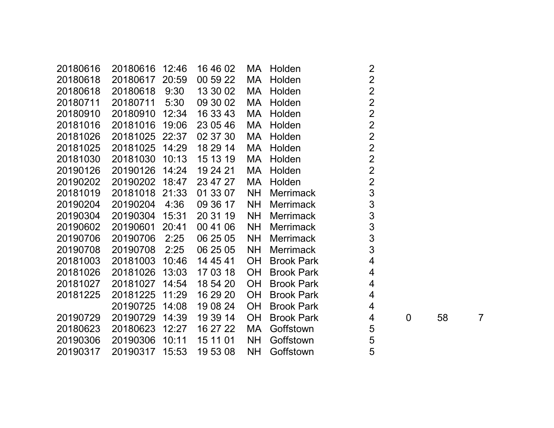| 20180616 | 20180616 12:46 |       | 16 46 02 |           | MA Holden         | $\overline{2}$          |             |    |                |
|----------|----------------|-------|----------|-----------|-------------------|-------------------------|-------------|----|----------------|
| 20180618 | 20180617       | 20:59 | 00 59 22 | MA        | Holden            | $\overline{2}$          |             |    |                |
| 20180618 | 20180618       | 9:30  | 13 30 02 | MA        | Holden            | $\overline{2}$          |             |    |                |
| 20180711 | 20180711       | 5:30  | 09 30 02 | МA        | Holden            | $\overline{2}$          |             |    |                |
| 20180910 | 20180910       | 12:34 | 16 33 43 | MA        | Holden            | $\overline{2}$          |             |    |                |
| 20181016 | 20181016       | 19:06 | 23 05 46 | MA        | Holden            | $\overline{2}$          |             |    |                |
| 20181026 | 20181025 22:37 |       | 02 37 30 | МA        | Holden            | $\overline{2}$          |             |    |                |
| 20181025 | 20181025       | 14:29 | 18 29 14 | MA        | Holden            | $\overline{2}$          |             |    |                |
| 20181030 | 20181030       | 10:13 | 15 13 19 | MA        | Holden            | $\overline{2}$          |             |    |                |
| 20190126 | 20190126       | 14:24 | 19 24 21 | МA        | Holden            | $\overline{2}$          |             |    |                |
| 20190202 | 20190202       | 18:47 | 23 47 27 | MA        | Holden            | $\overline{2}$          |             |    |                |
| 20181019 | 20181018 21:33 |       | 01 33 07 | <b>NH</b> | <b>Merrimack</b>  | 3                       |             |    |                |
| 20190204 | 20190204       | 4:36  | 09 36 17 | <b>NH</b> | <b>Merrimack</b>  | 3                       |             |    |                |
| 20190304 | 20190304       | 15:31 | 20 31 19 | <b>NH</b> | <b>Merrimack</b>  | 3                       |             |    |                |
| 20190602 | 20190601       | 20:41 | 00 41 06 | <b>NH</b> | <b>Merrimack</b>  | 3                       |             |    |                |
| 20190706 | 20190706       | 2:25  | 06 25 05 | <b>NH</b> | <b>Merrimack</b>  | 3                       |             |    |                |
| 20190708 | 20190708       | 2:25  | 06 25 05 | <b>NH</b> | <b>Merrimack</b>  | 3                       |             |    |                |
| 20181003 | 20181003       | 10:46 | 14 45 41 | <b>OH</b> | <b>Brook Park</b> | $\overline{\mathbf{4}}$ |             |    |                |
| 20181026 | 20181026       | 13:03 | 17 03 18 | <b>OH</b> | <b>Brook Park</b> | $\overline{4}$          |             |    |                |
| 20181027 | 20181027       | 14:54 | 18 54 20 | <b>OH</b> | <b>Brook Park</b> | $\overline{4}$          |             |    |                |
| 20181225 | 20181225       | 11:29 | 16 29 20 | <b>OH</b> | <b>Brook Park</b> | $\overline{4}$          |             |    |                |
|          | 20190725       | 14:08 | 19 08 24 | <b>OH</b> | <b>Brook Park</b> | $\overline{4}$          |             |    |                |
| 20190729 | 20190729       | 14:39 | 19 39 14 | <b>OH</b> | <b>Brook Park</b> | 4                       | $\mathbf 0$ | 58 | $\overline{7}$ |
| 20180623 | 20180623       | 12:27 | 16 27 22 | MA        | Goffstown         | 5                       |             |    |                |
| 20190306 | 20190306       | 10:11 | 15 11 01 | <b>NH</b> | Goffstown         | 5                       |             |    |                |
| 20190317 | 20190317       | 15:53 | 19 53 08 | <b>NH</b> | Goffstown         | 5                       |             |    |                |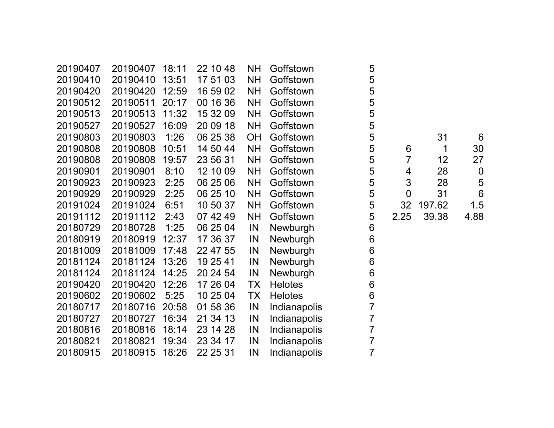| 20190407 | 20190407 | 18:11 | 22 10 48 | <b>NH</b> | Goffstown      | 5              |                |        |                  |
|----------|----------|-------|----------|-----------|----------------|----------------|----------------|--------|------------------|
| 20190410 | 20190410 | 13:51 | 17 51 03 | <b>NH</b> | Goffstown      | 5              |                |        |                  |
| 20190420 | 20190420 | 12:59 | 16 59 02 | <b>NH</b> | Goffstown      | 5              |                |        |                  |
| 20190512 | 20190511 | 20:17 | 00 16 36 | <b>NH</b> | Goffstown      | 5              |                |        |                  |
| 20190513 | 20190513 | 11:32 | 15 32 09 | <b>NH</b> | Goffstown      | 5              |                |        |                  |
| 20190527 | 20190527 | 16:09 | 20 09 18 | <b>NH</b> | Goffstown      | 5              |                |        |                  |
| 20190803 | 20190803 | 1:26  | 06 25 38 | OH        | Goffstown      | $\mathbf 5$    |                | 31     | 6                |
| 20190808 | 20190808 | 10:51 | 14 50 44 | <b>NH</b> | Goffstown      | 5              | 6              | 1      | 30               |
| 20190808 | 20190808 | 19:57 | 23 56 31 | <b>NH</b> | Goffstown      | 5              | $\overline{7}$ | 12     | 27               |
| 20190901 | 20190901 | 8:10  | 12 10 09 | <b>NH</b> | Goffstown      | 5              | $\overline{4}$ | 28     | $\boldsymbol{0}$ |
| 20190923 | 20190923 | 2:25  | 06 25 06 | <b>NH</b> | Goffstown      | 5              | 3              | 28     | 5                |
| 20190929 | 20190929 | 2:25  | 06 25 10 | <b>NH</b> | Goffstown      | 5              | $\mathbf 0$    | 31     | $6\phantom{1}6$  |
| 20191024 | 20191024 | 6:51  | 10 50 37 | <b>NH</b> | Goffstown      | 5              | 32             | 197.62 | 1.5              |
| 20191112 | 20191112 | 2:43  | 07 42 49 | <b>NH</b> | Goffstown      | 5              | 2.25           | 39.38  | 4.88             |
| 20180729 | 20180728 | 1:25  | 06 25 04 | IN        | Newburgh       | 6              |                |        |                  |
| 20180919 | 20180919 | 12:37 | 17 36 37 | IN        | Newburgh       | 6              |                |        |                  |
| 20181009 | 20181009 | 17:48 | 22 47 55 | IN        | Newburgh       | 6              |                |        |                  |
| 20181124 | 20181124 | 13:26 | 19 25 41 | IN        | Newburgh       | 6              |                |        |                  |
| 20181124 | 20181124 | 14:25 | 20 24 54 | IN        | Newburgh       | 6              |                |        |                  |
| 20190420 | 20190420 | 12:26 | 17 26 04 | TX        | <b>Helotes</b> | 6              |                |        |                  |
| 20190602 | 20190602 | 5:25  | 10 25 04 | ТX        | <b>Helotes</b> | $\,6$          |                |        |                  |
| 20180717 | 20180716 | 20:58 | 01 58 36 | IN        | Indianapolis   | $\overline{7}$ |                |        |                  |
| 20180727 | 20180727 | 16:34 | 21 34 13 | IN        | Indianapolis   | $\overline{7}$ |                |        |                  |
| 20180816 | 20180816 | 18:14 | 23 14 28 | IN        | Indianapolis   | $\overline{7}$ |                |        |                  |
| 20180821 | 20180821 | 19:34 | 23 34 17 | IN        | Indianapolis   | $\overline{7}$ |                |        |                  |
| 20180915 | 20180915 | 18:26 | 22 25 31 | IN        | Indianapolis   | $\overline{7}$ |                |        |                  |
|          |          |       |          |           |                |                |                |        |                  |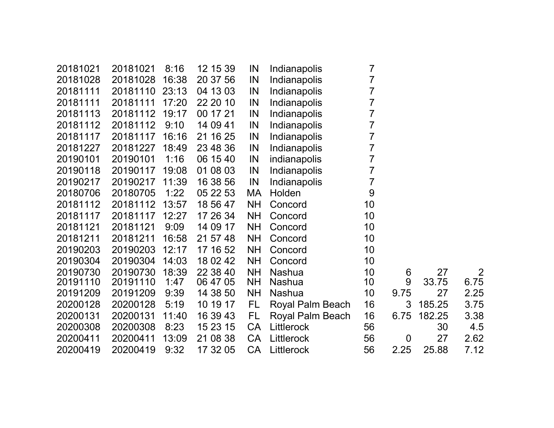| 20181021 | 20181021 | 8:16  | 12 15 39 | IN        | Indianapolis     | 7  |                |        |                |
|----------|----------|-------|----------|-----------|------------------|----|----------------|--------|----------------|
| 20181028 | 20181028 | 16:38 | 20 37 56 | IN        | Indianapolis     | 7  |                |        |                |
| 20181111 | 20181110 | 23:13 | 04 13 03 | IN        | Indianapolis     | 7  |                |        |                |
| 20181111 | 20181111 | 17:20 | 22 20 10 | IN        | Indianapolis     | 7  |                |        |                |
| 20181113 | 20181112 | 19:17 | 00 17 21 | IN        | Indianapolis     | 7  |                |        |                |
| 20181112 | 20181112 | 9:10  | 14 09 41 | IN        | Indianapolis     | 7  |                |        |                |
| 20181117 | 20181117 | 16:16 | 21 16 25 | IN        | Indianapolis     | 7  |                |        |                |
| 20181227 | 20181227 | 18:49 | 23 48 36 | IN        | Indianapolis     | 7  |                |        |                |
| 20190101 | 20190101 | 1:16  | 06 15 40 | IN        | indianapolis     | 7  |                |        |                |
| 20190118 | 20190117 | 19:08 | 01 08 03 | IN        | Indianapolis     | 7  |                |        |                |
| 20190217 | 20190217 | 11:39 | 16 38 56 | IN        | Indianapolis     | 7  |                |        |                |
| 20180706 | 20180705 | 1:22  | 05 22 53 | МA        | Holden           | 9  |                |        |                |
| 20181112 | 20181112 | 13:57 | 18 56 47 | <b>NH</b> | Concord          | 10 |                |        |                |
| 20181117 | 20181117 | 12:27 | 17 26 34 | <b>NH</b> | Concord          | 10 |                |        |                |
| 20181121 | 20181121 | 9:09  | 14 09 17 | <b>NH</b> | Concord          | 10 |                |        |                |
| 20181211 | 20181211 | 16:58 | 21 57 48 | <b>NH</b> | Concord          | 10 |                |        |                |
| 20190203 | 20190203 | 12:17 | 17 16 52 | <b>NH</b> | Concord          | 10 |                |        |                |
| 20190304 | 20190304 | 14:03 | 18 02 42 | <b>NH</b> | Concord          | 10 |                |        |                |
| 20190730 | 20190730 | 18:39 | 22 38 40 | <b>NH</b> | <b>Nashua</b>    | 10 | 6              | 27     | $\overline{2}$ |
| 20191110 | 20191110 | 1:47  | 06 47 05 | <b>NH</b> | <b>Nashua</b>    | 10 | 9              | 33.75  | 6.75           |
| 20191209 | 20191209 | 9:39  | 14 38 50 | <b>NH</b> | <b>Nashua</b>    | 10 | 9.75           | 27     | 2.25           |
| 20200128 | 20200128 | 5:19  | 10 19 17 | FL.       | Royal Palm Beach | 16 | 3              | 185.25 | 3.75           |
| 20200131 | 20200131 | 11:40 | 16 39 43 | FL.       | Royal Palm Beach | 16 | 6.75           | 182.25 | 3.38           |
| 20200308 | 20200308 | 8:23  | 15 23 15 | CA        | Littlerock       | 56 |                | 30     | 4.5            |
| 20200411 | 20200411 | 13:09 | 21 08 38 | <b>CA</b> | Littlerock       | 56 | $\overline{0}$ | 27     | 2.62           |
| 20200419 | 20200419 | 9:32  | 17 32 05 | <b>CA</b> | Littlerock       | 56 | 2.25           | 25.88  | 7.12           |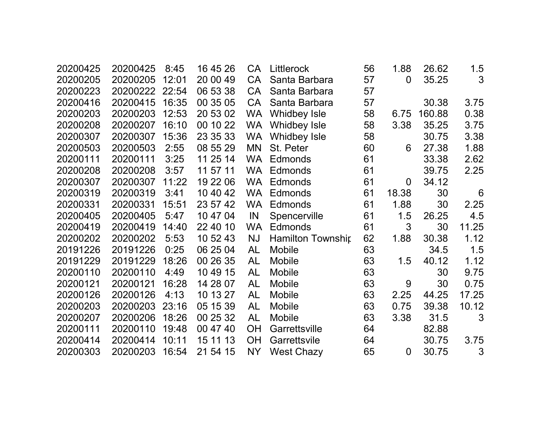| 20200425 | 20200425 | 8:45  | 16 45 26 | CA        | Littlerock               | 56 | 1.88           | 26.62  | 1.5   |
|----------|----------|-------|----------|-----------|--------------------------|----|----------------|--------|-------|
| 20200205 | 20200205 | 12:01 | 20 00 49 | <b>CA</b> | Santa Barbara            | 57 | $\overline{0}$ | 35.25  | 3     |
| 20200223 | 20200222 | 22:54 | 06 53 38 | <b>CA</b> | Santa Barbara            | 57 |                |        |       |
| 20200416 | 20200415 | 16:35 | 00 35 05 | CA        | Santa Barbara            | 57 |                | 30.38  | 3.75  |
| 20200203 | 20200203 | 12:53 | 20 53 02 | <b>WA</b> | <b>Whidbey Isle</b>      | 58 | 6.75           | 160.88 | 0.38  |
| 20200208 | 20200207 | 16:10 | 00 10 22 | <b>WA</b> | <b>Whidbey Isle</b>      | 58 | 3.38           | 35.25  | 3.75  |
| 20200307 | 20200307 | 15:36 | 23 35 33 | <b>WA</b> | <b>Whidbey Isle</b>      | 58 |                | 30.75  | 3.38  |
| 20200503 | 20200503 | 2:55  | 08 55 29 | MN        | St. Peter                | 60 | 6              | 27.38  | 1.88  |
| 20200111 | 20200111 | 3:25  | 11 25 14 | <b>WA</b> | Edmonds                  | 61 |                | 33.38  | 2.62  |
| 20200208 | 20200208 | 3:57  | 11 57 11 | <b>WA</b> | <b>Edmonds</b>           | 61 |                | 39.75  | 2.25  |
| 20200307 | 20200307 | 11:22 | 19 22 06 | <b>WA</b> | <b>Edmonds</b>           | 61 | 0              | 34.12  |       |
| 20200319 | 20200319 | 3:41  | 10 40 42 | <b>WA</b> | <b>Edmonds</b>           | 61 | 18.38          | 30     | 6     |
| 20200331 | 20200331 | 15:51 | 23 57 42 | WA        | Edmonds                  | 61 | 1.88           | 30     | 2.25  |
| 20200405 | 20200405 | 5:47  | 10 47 04 | IN        | Spencerville             | 61 | 1.5            | 26.25  | 4.5   |
| 20200419 | 20200419 | 14:40 | 22 40 10 | <b>WA</b> | <b>Edmonds</b>           | 61 | 3              | 30     | 11.25 |
| 20200202 | 20200202 | 5:53  | 10 52 43 | <b>NJ</b> | <b>Hamilton Township</b> | 62 | 1.88           | 30.38  | 1.12  |
| 20191226 | 20191226 | 0:25  | 06 25 04 | AL        | <b>Mobile</b>            | 63 |                | 34.5   | 1.5   |
| 20191229 | 20191229 | 18:26 | 00 26 35 | <b>AL</b> | Mobile                   | 63 | 1.5            | 40.12  | 1.12  |
| 20200110 | 20200110 | 4:49  | 10 49 15 | AL        | Mobile                   | 63 |                | 30     | 9.75  |
| 20200121 | 20200121 | 16:28 | 14 28 07 | AL        | Mobile                   | 63 | 9              | 30     | 0.75  |
| 20200126 | 20200126 | 4:13  | 10 13 27 | <b>AL</b> | <b>Mobile</b>            | 63 | 2.25           | 44.25  | 17.25 |
| 20200203 | 20200203 | 23:16 | 05 15 39 | <b>AL</b> | Mobile                   | 63 | 0.75           | 39.38  | 10.12 |
| 20200207 | 20200206 | 18:26 | 00 25 32 | <b>AL</b> | Mobile                   | 63 | 3.38           | 31.5   | 3     |
| 20200111 | 20200110 | 19:48 | 00 47 40 | <b>OH</b> | Garrettsville            | 64 |                | 82.88  |       |
| 20200414 | 20200414 | 10:11 | 15 11 13 | OH        | Garrettsvile             | 64 |                | 30.75  | 3.75  |
| 20200303 | 20200203 | 16:54 | 21 54 15 | <b>NY</b> | <b>West Chazy</b>        | 65 | 0              | 30.75  | 3     |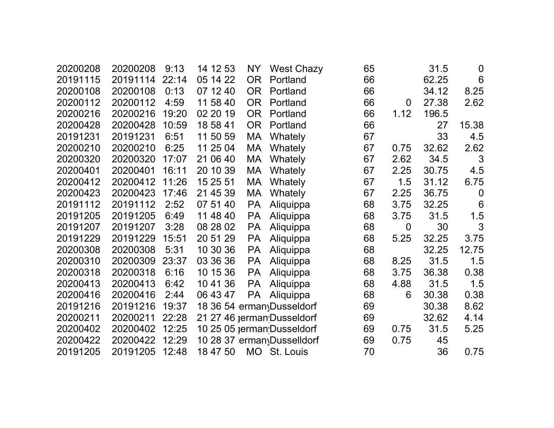| 20200208 | 20200208 | 9:13  | 14 12 53 | NY        | <b>West Chazy</b>          | 65 |                | 31.5  | $\boldsymbol{0}$ |
|----------|----------|-------|----------|-----------|----------------------------|----|----------------|-------|------------------|
| 20191115 | 20191114 | 22:14 | 05 14 22 | <b>OR</b> | Portland                   | 66 |                | 62.25 | 6                |
| 20200108 | 20200108 | 0:13  | 07 12 40 | <b>OR</b> | Portland                   | 66 |                | 34.12 | 8.25             |
| 20200112 | 20200112 | 4:59  | 11 58 40 | <b>OR</b> | Portland                   | 66 | 0              | 27.38 | 2.62             |
| 20200216 | 20200216 | 19:20 | 02 20 19 | <b>OR</b> | Portland                   | 66 | 1.12           | 196.5 |                  |
| 20200428 | 20200428 | 10:59 | 18 58 41 | <b>OR</b> | Portland                   | 66 |                | 27    | 15.38            |
| 20191231 | 20191231 | 6:51  | 11 50 59 | МA        | Whately                    | 67 |                | 33    | 4.5              |
| 20200210 | 20200210 | 6:25  | 11 25 04 | МA        | Whately                    | 67 | 0.75           | 32.62 | 2.62             |
| 20200320 | 20200320 | 17:07 | 21 06 40 | МA        | Whately                    | 67 | 2.62           | 34.5  | 3                |
| 20200401 | 20200401 | 16:11 | 20 10 39 | МA        | <b>Whately</b>             | 67 | 2.25           | 30.75 | 4.5              |
| 20200412 | 20200412 | 11:26 | 15 25 51 | МA        | Whately                    | 67 | 1.5            | 31.12 | 6.75             |
| 20200423 | 20200423 | 17:46 | 21 45 39 | МA        | Whately                    | 67 | 2.25           | 36.75 | $\overline{0}$   |
| 20191112 | 20191112 | 2:52  | 07 51 40 | <b>PA</b> | Aliquippa                  | 68 | 3.75           | 32.25 | $6\phantom{1}6$  |
| 20191205 | 20191205 | 6:49  | 11 48 40 | <b>PA</b> | Aliquippa                  | 68 | 3.75           | 31.5  | 1.5              |
| 20191207 | 20191207 | 3:28  | 08 28 02 | <b>PA</b> | Aliquippa                  | 68 | $\overline{0}$ | 30    | 3                |
| 20191229 | 20191229 | 15:51 | 20 51 29 | <b>PA</b> | Aliquippa                  | 68 | 5.25           | 32.25 | 3.75             |
| 20200308 | 20200308 | 5:31  | 10 30 36 | <b>PA</b> | Aliquippa                  | 68 |                | 32.25 | 12.75            |
| 20200310 | 20200309 | 23:37 | 03 36 36 | <b>PA</b> | Aliquippa                  | 68 | 8.25           | 31.5  | 1.5              |
| 20200318 | 20200318 | 6:16  | 10 15 36 | <b>PA</b> | Aliquippa                  | 68 | 3.75           | 36.38 | 0.38             |
| 20200413 | 20200413 | 6:42  | 10 41 36 | <b>PA</b> | Aliquippa                  | 68 | 4.88           | 31.5  | 1.5              |
| 20200416 | 20200416 | 2:44  | 06 43 47 | <b>PA</b> | Aliquippa                  | 68 | 6              | 30.38 | 0.38             |
| 20191216 | 20191216 | 19:37 |          |           | 18 36 54 erman Dusseldorf  | 69 |                | 30.38 | 8.62             |
| 20200211 | 20200211 | 22:28 |          |           | 21 27 46 jerman Dusseldorf | 69 |                | 32.62 | 4.14             |
| 20200402 | 20200402 | 12:25 |          |           | 10 25 05 jerman Dusseldorf | 69 | 0.75           | 31.5  | 5.25             |
| 20200422 | 20200422 | 12:29 |          |           | 10 28 37 ermanyDusselldorf | 69 | 0.75           | 45    |                  |
| 20191205 | 20191205 | 12:48 | 18 47 50 |           | MO St. Louis               | 70 |                | 36    | 0.75             |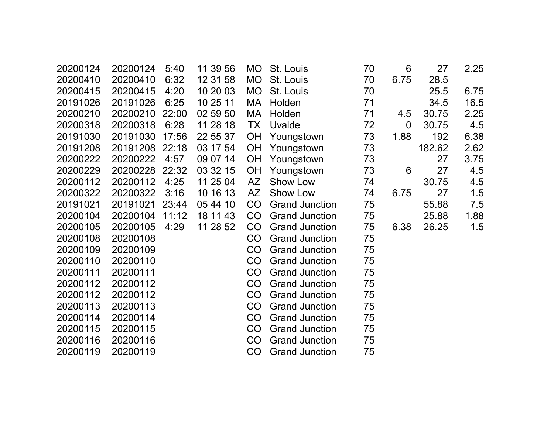| 20200124 | 20200124 | 5:40  | 11 39 56 | <b>MO</b> | St. Louis             | 70 | 6              | 27     | 2.25 |
|----------|----------|-------|----------|-----------|-----------------------|----|----------------|--------|------|
| 20200410 | 20200410 | 6:32  | 12 31 58 | <b>MO</b> | St. Louis             | 70 | 6.75           | 28.5   |      |
| 20200415 | 20200415 | 4:20  | 10 20 03 | <b>MO</b> | St. Louis             | 70 |                | 25.5   | 6.75 |
| 20191026 | 20191026 | 6:25  | 10 25 11 | MA        | Holden                | 71 |                | 34.5   | 16.5 |
| 20200210 | 20200210 | 22:00 | 02 59 50 | MA        | Holden                | 71 | 4.5            | 30.75  | 2.25 |
| 20200318 | 20200318 | 6:28  | 11 28 18 | <b>TX</b> | Uvalde                | 72 | $\overline{0}$ | 30.75  | 4.5  |
| 20191030 | 20191030 | 17:56 | 22 55 37 | <b>OH</b> | Youngstown            | 73 | 1.88           | 192    | 6.38 |
| 20191208 | 20191208 | 22:18 | 03 17 54 | <b>OH</b> | Youngstown            | 73 |                | 182.62 | 2.62 |
| 20200222 | 20200222 | 4:57  | 09 07 14 | OH        | Youngstown            | 73 |                | 27     | 3.75 |
| 20200229 | 20200228 | 22:32 | 03 32 15 | <b>OH</b> | Youngstown            | 73 | 6              | 27     | 4.5  |
| 20200112 | 20200112 | 4:25  | 11 25 04 | <b>AZ</b> | Show Low              | 74 |                | 30.75  | 4.5  |
| 20200322 | 20200322 | 3:16  | 10 16 13 | AZ        | Show Low              | 74 | 6.75           | 27     | 1.5  |
| 20191021 | 20191021 | 23:44 | 05 44 10 | CO        | <b>Grand Junction</b> | 75 |                | 55.88  | 7.5  |
| 20200104 | 20200104 | 11:12 | 18 11 43 | CO        | <b>Grand Junction</b> | 75 |                | 25.88  | 1.88 |
| 20200105 | 20200105 | 4:29  | 11 28 52 | CO        | <b>Grand Junction</b> | 75 | 6.38           | 26.25  | 1.5  |
| 20200108 | 20200108 |       |          | CO        | <b>Grand Junction</b> | 75 |                |        |      |
| 20200109 | 20200109 |       |          | CO        | <b>Grand Junction</b> | 75 |                |        |      |
| 20200110 | 20200110 |       |          | CO        | <b>Grand Junction</b> | 75 |                |        |      |
| 20200111 | 20200111 |       |          | CO        | <b>Grand Junction</b> | 75 |                |        |      |
| 20200112 | 20200112 |       |          | CO        | <b>Grand Junction</b> | 75 |                |        |      |
| 20200112 | 20200112 |       |          | CO        | <b>Grand Junction</b> | 75 |                |        |      |
| 20200113 | 20200113 |       |          | CO        | <b>Grand Junction</b> | 75 |                |        |      |
| 20200114 | 20200114 |       |          | CO        | <b>Grand Junction</b> | 75 |                |        |      |
| 20200115 | 20200115 |       |          | CO        | <b>Grand Junction</b> | 75 |                |        |      |
| 20200116 | 20200116 |       |          | CO        | <b>Grand Junction</b> | 75 |                |        |      |
| 20200119 | 20200119 |       |          | CO        | <b>Grand Junction</b> | 75 |                |        |      |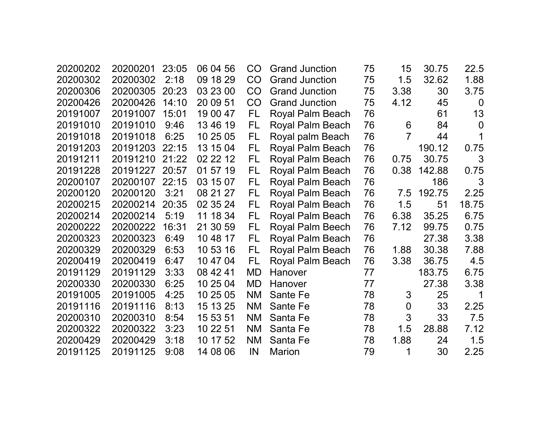| 20200202 | 20200201 | 23:05 | 06 04 56 | CO        | <b>Grand Junction</b>   | 75 | 15          | 30.75  | 22.5           |
|----------|----------|-------|----------|-----------|-------------------------|----|-------------|--------|----------------|
| 20200302 | 20200302 | 2:18  | 09 18 29 | <b>CO</b> | <b>Grand Junction</b>   | 75 | 1.5         | 32.62  | 1.88           |
| 20200306 | 20200305 | 20:23 | 03 23 00 | CO        | <b>Grand Junction</b>   | 75 | 3.38        | 30     | 3.75           |
| 20200426 | 20200426 | 14:10 | 20 09 51 | CO        | <b>Grand Junction</b>   | 75 | 4.12        | 45     | $\overline{0}$ |
| 20191007 | 20191007 | 15:01 | 19 00 47 | FL.       | Royal Palm Beach        | 76 |             | 61     | 13             |
| 20191010 | 20191010 | 9:46  | 13 46 19 | FL        | <b>Royal Palm Beach</b> | 76 | 6           | 84     | $\overline{0}$ |
| 20191018 | 20191018 | 6:25  | 10 25 05 | FL        | Royal palm Beach        | 76 | 7           | 44     |                |
| 20191203 | 20191203 | 22:15 | 13 15 04 | FL        | Royal Palm Beach        | 76 |             | 190.12 | 0.75           |
| 20191211 | 20191210 | 21:22 | 02 22 12 | FL        | Royal Palm Beach        | 76 | 0.75        | 30.75  | 3              |
| 20191228 | 20191227 | 20:57 | 01 57 19 | FL.       | Royal Palm Beach        | 76 | 0.38        | 142.88 | 0.75           |
| 20200107 | 20200107 | 22:15 | 03 15 07 | FL.       | Royal Palm Beach        | 76 |             | 186    | 3              |
| 20200120 | 20200120 | 3:21  | 08 21 27 | FL        | Royal Palm Beach        | 76 | 7.5         | 192.75 | 2.25           |
| 20200215 | 20200214 | 20:35 | 02 35 24 | FL        | Royal Palm Beach        | 76 | 1.5         | 51     | 18.75          |
| 20200214 | 20200214 | 5:19  | 11 18 34 | FL.       | Royal Palm Beach        | 76 | 6.38        | 35.25  | 6.75           |
| 20200222 | 20200222 | 16:31 | 21 30 59 | FL        | <b>Royal Palm Beech</b> | 76 | 7.12        | 99.75  | 0.75           |
| 20200323 | 20200323 | 6:49  | 10 48 17 | FL        | Royal Palm Beach        | 76 |             | 27.38  | 3.38           |
| 20200329 | 20200329 | 6:53  | 10 53 16 | FL.       | Royal Palm Beach        | 76 | 1.88        | 30.38  | 7.88           |
| 20200419 | 20200419 | 6:47  | 10 47 04 | FL.       | Royal Palm Beach        | 76 | 3.38        | 36.75  | 4.5            |
| 20191129 | 20191129 | 3:33  | 08 42 41 | MD        | Hanover                 | 77 |             | 183.75 | 6.75           |
| 20200330 | 20200330 | 6:25  | 10 25 04 | <b>MD</b> | Hanover                 | 77 |             | 27.38  | 3.38           |
| 20191005 | 20191005 | 4:25  | 10 25 05 | <b>NM</b> | Sante Fe                | 78 | 3           | 25     |                |
| 20191116 | 20191116 | 8:13  | 15 13 25 | <b>NM</b> | Sante Fe                | 78 | $\mathbf 0$ | 33     | 2.25           |
| 20200310 | 20200310 | 8:54  | 15 53 51 | <b>NM</b> | Santa Fe                | 78 | 3           | 33     | 7.5            |
| 20200322 | 20200322 | 3:23  | 10 22 51 | <b>NM</b> | Santa Fe                | 78 | 1.5         | 28.88  | 7.12           |
| 20200429 | 20200429 | 3:18  | 10 17 52 | <b>NM</b> | Santa Fe                | 78 | 1.88        | 24     | 1.5            |
| 20191125 | 20191125 | 9:08  | 14 08 06 | IN        | <b>Marion</b>           | 79 | 1           | 30     | 2.25           |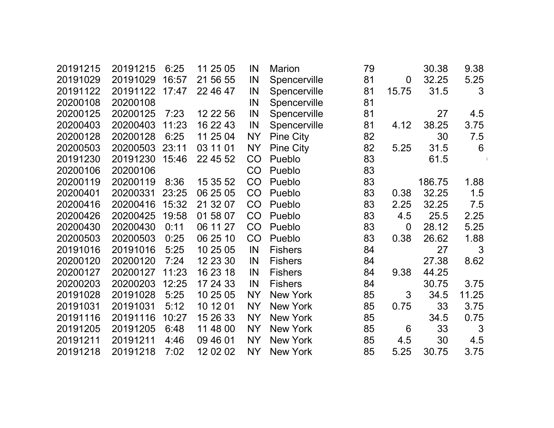| 20191215 | 20191215       | 6:25  | 11 25 05 | IN        | Marion           | 79 |             | 30.38  | 9.38  |  |
|----------|----------------|-------|----------|-----------|------------------|----|-------------|--------|-------|--|
| 20191029 | 20191029       | 16:57 | 21 56 55 | IN        | Spencerville     | 81 | $\mathbf 0$ | 32.25  | 5.25  |  |
| 20191122 | 20191122 17:47 |       | 22 46 47 | IN        | Spencerville     | 81 | 15.75       | 31.5   | 3     |  |
| 20200108 | 20200108       |       |          | IN        | Spencerville     | 81 |             |        |       |  |
| 20200125 | 20200125       | 7:23  | 12 22 56 | IN        | Spencerville     | 81 |             | 27     | 4.5   |  |
| 20200403 | 20200403       | 11:23 | 16 22 43 | IN        | Spencerville     | 81 | 4.12        | 38.25  | 3.75  |  |
| 20200128 | 20200128       | 6:25  | 11 25 04 | <b>NY</b> | <b>Pine City</b> | 82 |             | 30     | 7.5   |  |
| 20200503 | 20200503       | 23:11 | 03 11 01 | <b>NY</b> | <b>Pine City</b> | 82 | 5.25        | 31.5   | 6     |  |
| 20191230 | 20191230       | 15:46 | 22 45 52 | CO        | Pueblo           | 83 |             | 61.5   |       |  |
| 20200106 | 20200106       |       |          | CO        | Pueblo           | 83 |             |        |       |  |
| 20200119 | 20200119       | 8:36  | 15 35 52 | CO        | Pueblo           | 83 |             | 186.75 | 1.88  |  |
| 20200401 | 20200331       | 23:25 | 06 25 05 | CO        | Pueblo           | 83 | 0.38        | 32.25  | 1.5   |  |
| 20200416 | 20200416       | 15:32 | 21 32 07 | CO        | Pueblo           | 83 | 2.25        | 32.25  | 7.5   |  |
| 20200426 | 20200425       | 19:58 | 01 58 07 | CO        | Pueblo           | 83 | 4.5         | 25.5   | 2.25  |  |
| 20200430 | 20200430       | 0:11  | 06 11 27 | CO        | Pueblo           | 83 | $\mathbf 0$ | 28.12  | 5.25  |  |
| 20200503 | 20200503       | 0:25  | 06 25 10 | CO        | Pueblo           | 83 | 0.38        | 26.62  | 1.88  |  |
| 20191016 | 20191016       | 5:25  | 10 25 05 | IN        | <b>Fishers</b>   | 84 |             | 27     | 3     |  |
| 20200120 | 20200120       | 7:24  | 12 23 30 | IN        | <b>Fishers</b>   | 84 |             | 27.38  | 8.62  |  |
| 20200127 | 20200127       | 11:23 | 16 23 18 | IN        | <b>Fishers</b>   | 84 | 9.38        | 44.25  |       |  |
| 20200203 | 20200203       | 12:25 | 17 24 33 | IN        | <b>Fishers</b>   | 84 |             | 30.75  | 3.75  |  |
| 20191028 | 20191028       | 5:25  | 10 25 05 | <b>NY</b> | New York         | 85 | 3           | 34.5   | 11.25 |  |
| 20191031 | 20191031       | 5:12  | 10 12 01 | <b>NY</b> | New York         | 85 | 0.75        | 33     | 3.75  |  |
| 20191116 | 20191116       | 10:27 | 15 26 33 | <b>NY</b> | New York         | 85 |             | 34.5   | 0.75  |  |
| 20191205 | 20191205       | 6:48  | 11 48 00 | <b>NY</b> | New York         | 85 | 6           | 33     | 3     |  |
| 20191211 | 20191211       | 4:46  | 09 46 01 | <b>NY</b> | <b>New York</b>  | 85 | 4.5         | 30     | 4.5   |  |
| 20191218 | 20191218       | 7:02  | 12 02 02 | <b>NY</b> | New York         | 85 | 5.25        | 30.75  | 3.75  |  |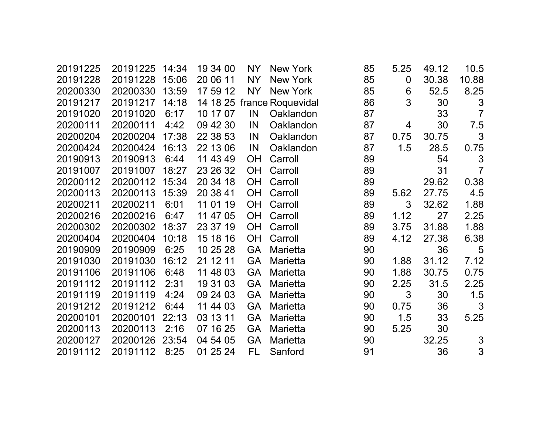| 20191225 | 20191225 | 14:34 | 19 34 00 | NY        | New York          | 85 | 5.25        | 49.12 | 10.5           |
|----------|----------|-------|----------|-----------|-------------------|----|-------------|-------|----------------|
| 20191228 | 20191228 | 15:06 | 20 06 11 | <b>NY</b> | <b>New York</b>   | 85 | $\mathbf 0$ | 30.38 | 10.88          |
| 20200330 | 20200330 | 13:59 | 17 59 12 | <b>NY</b> | <b>New York</b>   | 85 | 6           | 52.5  | 8.25           |
| 20191217 | 20191217 | 14:18 | 14 18 25 |           | france Roquevidal | 86 | 3           | 30    | 3              |
| 20191020 | 20191020 | 6:17  | 10 17 07 | IN        | Oaklandon         | 87 |             | 33    | $\overline{7}$ |
| 20200111 | 20200111 | 4:42  | 09 42 30 | IN        | Oaklandon         | 87 | 4           | 30    | 7.5            |
| 20200204 | 20200204 | 17:38 | 22 38 53 | IN        | Oaklandon         | 87 | 0.75        | 30.75 | 3              |
| 20200424 | 20200424 | 16:13 | 22 13 06 | IN        | Oaklandon         | 87 | 1.5         | 28.5  | 0.75           |
| 20190913 | 20190913 | 6:44  | 11 43 49 | <b>OH</b> | Carroll           | 89 |             | 54    | 3              |
| 20191007 | 20191007 | 18:27 | 23 26 32 | OH        | Carroll           | 89 |             | 31    | $\overline{7}$ |
| 20200112 | 20200112 | 15:34 | 20 34 18 | <b>OH</b> | Carroll           | 89 |             | 29.62 | 0.38           |
| 20200113 | 20200113 | 15:39 | 20 38 41 | <b>OH</b> | Carroll           | 89 | 5.62        | 27.75 | 4.5            |
| 20200211 | 20200211 | 6:01  | 11 01 19 | OH        | Carroll           | 89 | 3           | 32.62 | 1.88           |
| 20200216 | 20200216 | 6:47  | 11 47 05 | <b>OH</b> | Carroll           | 89 | 1.12        | 27    | 2.25           |
| 20200302 | 20200302 | 18:37 | 23 37 19 | <b>OH</b> | Carroll           | 89 | 3.75        | 31.88 | 1.88           |
| 20200404 | 20200404 | 10:18 | 15 18 16 | <b>OH</b> | Carroll           | 89 | 4.12        | 27.38 | 6.38           |
| 20190909 | 20190909 | 6:25  | 10 25 28 | <b>GA</b> | <b>Marietta</b>   | 90 |             | 36    | 5              |
| 20191030 | 20191030 | 16:12 | 21 12 11 | <b>GA</b> | <b>Marietta</b>   | 90 | 1.88        | 31.12 | 7.12           |
| 20191106 | 20191106 | 6:48  | 11 48 03 | <b>GA</b> | <b>Marietta</b>   | 90 | 1.88        | 30.75 | 0.75           |
| 20191112 | 20191112 | 2:31  | 19 31 03 | <b>GA</b> | Marietta          | 90 | 2.25        | 31.5  | 2.25           |
| 20191119 | 20191119 | 4:24  | 09 24 03 | <b>GA</b> | Marietta          | 90 | 3           | 30    | 1.5            |
| 20191212 | 20191212 | 6:44  | 11 44 03 | <b>GA</b> | Marietta          | 90 | 0.75        | 36    | 3              |
| 20200101 | 20200101 | 22:13 | 03 13 11 | <b>GA</b> | Marietta          | 90 | 1.5         | 33    | 5.25           |
| 20200113 | 20200113 | 2:16  | 07 16 25 | <b>GA</b> | <b>Marietta</b>   | 90 | 5.25        | 30    |                |
| 20200127 | 20200126 | 23:54 | 04 54 05 | <b>GA</b> | <b>Marietta</b>   | 90 |             | 32.25 | 3              |
| 20191112 | 20191112 | 8:25  | 01 25 24 | FL        | Sanford           | 91 |             | 36    | 3              |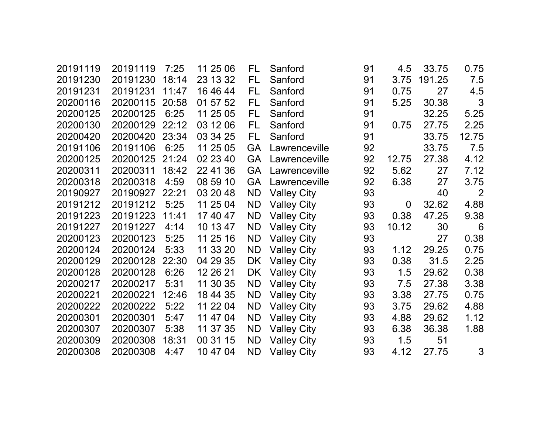| 20191119 | 20191119 | 7:25  | 11 25 06 | FL        | Sanford            | 91 | 4.5         | 33.75  | 0.75  |
|----------|----------|-------|----------|-----------|--------------------|----|-------------|--------|-------|
| 20191230 | 20191230 | 18:14 | 23 13 32 | FL        | Sanford            | 91 | 3.75        | 191.25 | 7.5   |
| 20191231 | 20191231 | 11:47 | 16 46 44 | FL        | Sanford            | 91 | 0.75        | 27     | 4.5   |
| 20200116 | 20200115 | 20:58 | 01 57 52 | FL        | Sanford            | 91 | 5.25        | 30.38  | 3     |
| 20200125 | 20200125 | 6:25  | 11 25 05 | FL        | Sanford            | 91 |             | 32.25  | 5.25  |
| 20200130 | 20200129 | 22:12 | 03 12 06 | FL        | Sanford            | 91 | 0.75        | 27.75  | 2.25  |
| 20200420 | 20200420 | 23:34 | 03 34 25 | FL        | Sanford            | 91 |             | 33.75  | 12.75 |
| 20191106 | 20191106 | 6:25  | 11 25 05 | <b>GA</b> | Lawrenceville      | 92 |             | 33.75  | 7.5   |
| 20200125 | 20200125 | 21:24 | 02 23 40 | <b>GA</b> | Lawrenceville      | 92 | 12.75       | 27.38  | 4.12  |
| 20200311 | 20200311 | 18:42 | 22 41 36 | <b>GA</b> | Lawrenceville      | 92 | 5.62        | 27     | 7.12  |
| 20200318 | 20200318 | 4:59  | 08 59 10 | <b>GA</b> | Lawrenceville      | 92 | 6.38        | 27     | 3.75  |
| 20190927 | 20190927 | 22:21 | 03 20 48 | <b>ND</b> | <b>Valley City</b> | 93 |             | 40     | 2     |
| 20191212 | 20191212 | 5:25  | 11 25 04 | <b>ND</b> | <b>Valley City</b> | 93 | $\mathbf 0$ | 32.62  | 4.88  |
| 20191223 | 20191223 | 11:41 | 17 40 47 | <b>ND</b> | <b>Valley City</b> | 93 | 0.38        | 47.25  | 9.38  |
| 20191227 | 20191227 | 4:14  | 10 13 47 | <b>ND</b> | <b>Valley City</b> | 93 | 10.12       | 30     | 6     |
| 20200123 | 20200123 | 5:25  | 11 25 16 | <b>ND</b> | <b>Valley City</b> | 93 |             | 27     | 0.38  |
| 20200124 | 20200124 | 5:33  | 11 33 20 | <b>ND</b> | <b>Valley City</b> | 93 | 1.12        | 29.25  | 0.75  |
| 20200129 | 20200128 | 22:30 | 04 29 35 | DK.       | <b>Valley City</b> | 93 | 0.38        | 31.5   | 2.25  |
| 20200128 | 20200128 | 6:26  | 12 26 21 | DK        | <b>Valley City</b> | 93 | 1.5         | 29.62  | 0.38  |
| 20200217 | 20200217 | 5:31  | 11 30 35 | <b>ND</b> | <b>Valley City</b> | 93 | 7.5         | 27.38  | 3.38  |
| 20200221 | 20200221 | 12:46 | 18 44 35 | <b>ND</b> | <b>Valley City</b> | 93 | 3.38        | 27.75  | 0.75  |
| 20200222 | 20200222 | 5:22  | 11 22 04 | <b>ND</b> | <b>Valley City</b> | 93 | 3.75        | 29.62  | 4.88  |
| 20200301 | 20200301 | 5:47  | 11 47 04 | <b>ND</b> | <b>Valley City</b> | 93 | 4.88        | 29.62  | 1.12  |
| 20200307 | 20200307 | 5:38  | 11 37 35 | <b>ND</b> | <b>Valley City</b> | 93 | 6.38        | 36.38  | 1.88  |
| 20200309 | 20200308 | 18:31 | 00 31 15 | <b>ND</b> | <b>Valley City</b> | 93 | 1.5         | 51     |       |
| 20200308 | 20200308 | 4:47  | 10 47 04 | <b>ND</b> | <b>Valley City</b> | 93 | 4.12        | 27.75  | 3     |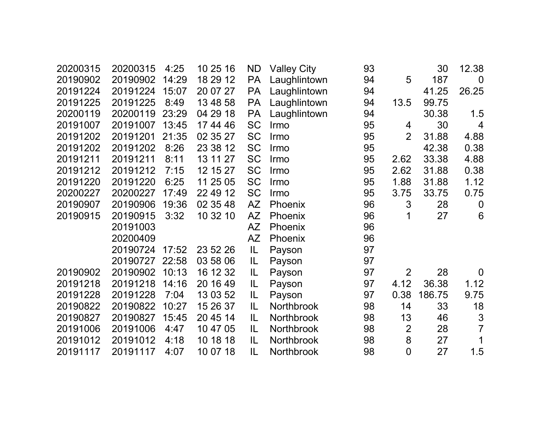| 20200315 | 20200315 | 4:25  | 10 25 16 | <b>ND</b> | <b>Valley City</b> | 93 |                | 30     | 12.38            |
|----------|----------|-------|----------|-----------|--------------------|----|----------------|--------|------------------|
| 20190902 | 20190902 | 14:29 | 18 29 12 | <b>PA</b> | Laughlintown       | 94 | 5              | 187    | $\overline{0}$   |
| 20191224 | 20191224 | 15:07 | 20 07 27 | <b>PA</b> | Laughlintown       | 94 |                | 41.25  | 26.25            |
| 20191225 | 20191225 | 8:49  | 13 48 58 | <b>PA</b> | Laughlintown       | 94 | 13.5           | 99.75  |                  |
| 20200119 | 20200119 | 23:29 | 04 29 18 | <b>PA</b> | Laughlintown       | 94 |                | 30.38  | 1.5              |
| 20191007 | 20191007 | 13:45 | 17 44 46 | <b>SC</b> | Irmo               | 95 | 4              | 30     | $\overline{4}$   |
| 20191202 | 20191201 | 21:35 | 02 35 27 | <b>SC</b> | Irmo               | 95 | $\overline{2}$ | 31.88  | 4.88             |
| 20191202 | 20191202 | 8:26  | 23 38 12 | <b>SC</b> | Irmo               | 95 |                | 42.38  | 0.38             |
| 20191211 | 20191211 | 8:11  | 13 11 27 | <b>SC</b> | Irmo               | 95 | 2.62           | 33.38  | 4.88             |
| 20191212 | 20191212 | 7:15  | 12 15 27 | <b>SC</b> | Irmo               | 95 | 2.62           | 31.88  | 0.38             |
| 20191220 | 20191220 | 6:25  | 11 25 05 | <b>SC</b> | Irmo               | 95 | 1.88           | 31.88  | 1.12             |
| 20200227 | 20200227 | 17:49 | 22 49 12 | <b>SC</b> | Irmo               | 95 | 3.75           | 33.75  | 0.75             |
| 20190907 | 20190906 | 19:36 | 02 35 48 | <b>AZ</b> | Phoenix            | 96 | 3              | 28     | $\boldsymbol{0}$ |
| 20190915 | 20190915 | 3:32  | 10 32 10 | AZ        | Phoenix            | 96 | 1              | 27     | 6                |
|          | 20191003 |       |          | <b>AZ</b> | Phoenix            | 96 |                |        |                  |
|          | 20200409 |       |          | AZ        | Phoenix            | 96 |                |        |                  |
|          | 20190724 | 17:52 | 23 52 26 | IL        | Payson             | 97 |                |        |                  |
|          | 20190727 | 22:58 | 03 58 06 | IL        | Payson             | 97 |                |        |                  |
| 20190902 | 20190902 | 10:13 | 16 12 32 | IL        | Payson             | 97 | $\overline{2}$ | 28     | $\mathbf 0$      |
| 20191218 | 20191218 | 14:16 | 20 16 49 | IL        | Payson             | 97 | 4.12           | 36.38  | 1.12             |
| 20191228 | 20191228 | 7:04  | 13 03 52 | IL        | Payson             | 97 | 0.38           | 186.75 | 9.75             |
| 20190822 | 20190822 | 10:27 | 15 26 37 | IL        | Northbrook         | 98 | 14             | 33     | 18               |
| 20190827 | 20190827 | 15:45 | 20 45 14 | IL        | Northbrook         | 98 | 13             | 46     | 3                |
| 20191006 | 20191006 | 4:47  | 10 47 05 | IL        | Northbrook         | 98 | $\overline{2}$ | 28     | $\overline{7}$   |
| 20191012 | 20191012 | 4:18  | 10 18 18 | IL        | Northbrook         | 98 | 8              | 27     | 1                |
| 20191117 | 20191117 | 4:07  | 10 07 18 | IL        | Northbrook         | 98 | $\overline{0}$ | 27     | 1.5              |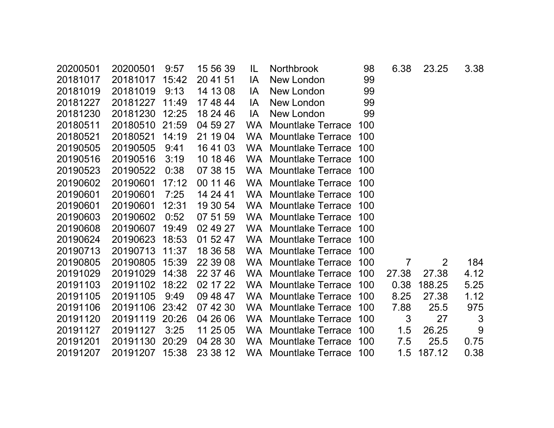| 20200501 | 20200501 | 9:57  | 15 56 39 | IL        | <b>Northbrook</b>        | 98  | 6.38  | 23.25  | 3.38           |
|----------|----------|-------|----------|-----------|--------------------------|-----|-------|--------|----------------|
| 20181017 | 20181017 | 15:42 | 20 41 51 | IA        | New London               | 99  |       |        |                |
| 20181019 | 20181019 | 9:13  | 14 13 08 | IA        | New London               | 99  |       |        |                |
| 20181227 | 20181227 | 11:49 | 17 48 44 | IA        | New London               | 99  |       |        |                |
| 20181230 | 20181230 | 12:25 | 18 24 46 | IA        | New London               | 99  |       |        |                |
| 20180511 | 20180510 | 21:59 | 04 59 27 | <b>WA</b> | <b>Mountlake Terrace</b> | 100 |       |        |                |
| 20180521 | 20180521 | 14:19 | 21 19 04 | <b>WA</b> | <b>Mountlake Terrace</b> | 100 |       |        |                |
| 20190505 | 20190505 | 9:41  | 16 41 03 | <b>WA</b> | <b>Mountlake Terrace</b> | 100 |       |        |                |
| 20190516 | 20190516 | 3:19  | 10 18 46 | <b>WA</b> | <b>Mountlake Terrace</b> | 100 |       |        |                |
| 20190523 | 20190522 | 0:38  | 07 38 15 | WA.       | <b>Mountlake Terrace</b> | 100 |       |        |                |
| 20190602 | 20190601 | 17:12 | 00 11 46 | <b>WA</b> | <b>Mountlake Terrace</b> | 100 |       |        |                |
| 20190601 | 20190601 | 7:25  | 14 24 41 | WA.       | <b>Mountlake Terrace</b> | 100 |       |        |                |
| 20190601 | 20190601 | 12:31 | 19 30 54 | <b>WA</b> | <b>Mountlake Terrace</b> | 100 |       |        |                |
| 20190603 | 20190602 | 0:52  | 07 51 59 | <b>WA</b> | <b>Mountlake Terrace</b> | 100 |       |        |                |
| 20190608 | 20190607 | 19:49 | 02 49 27 | <b>WA</b> | <b>Mountlake Terrace</b> | 100 |       |        |                |
| 20190624 | 20190623 | 18:53 | 01 52 47 | <b>WA</b> | <b>Mountlake Terrace</b> | 100 |       |        |                |
| 20190713 | 20190713 | 11:37 | 18 36 58 | <b>WA</b> | <b>Mountlake Terrace</b> | 100 |       |        |                |
| 20190805 | 20190805 | 15:39 | 22 39 08 | <b>WA</b> | <b>Mountlake Terrace</b> | 100 | 7     | 2      | 184            |
| 20191029 | 20191029 | 14:38 | 22 37 46 | <b>WA</b> | <b>Mountlake Terrace</b> | 100 | 27.38 | 27.38  | 4.12           |
| 20191103 | 20191102 | 18:22 | 02 17 22 | <b>WA</b> | <b>Mountlake Terrace</b> | 100 | 0.38  | 188.25 | 5.25           |
| 20191105 | 20191105 | 9:49  | 09 48 47 | <b>WA</b> | <b>Mountlake Terrace</b> | 100 | 8.25  | 27.38  | 1.12           |
| 20191106 | 20191106 | 23:42 | 07 42 30 | <b>WA</b> | <b>Mountlake Terrace</b> | 100 | 7.88  | 25.5   | 975            |
| 20191120 | 20191119 | 20:26 | 04 26 06 | <b>WA</b> | <b>Mountlake Terrace</b> | 100 | 3     | 27     | $\mathfrak{S}$ |
| 20191127 | 20191127 | 3:25  | 11 25 05 | <b>WA</b> | <b>Mountlake Terrace</b> | 100 | 1.5   | 26.25  | 9              |
| 20191201 | 20191130 | 20:29 | 04 28 30 | <b>WA</b> | <b>Mountlake Terrace</b> | 100 | 7.5   | 25.5   | 0.75           |
| 20191207 | 20191207 | 15:38 | 23 38 12 | WA.       | <b>Mountlake Terrace</b> | 100 | 1.5   | 187.12 | 0.38           |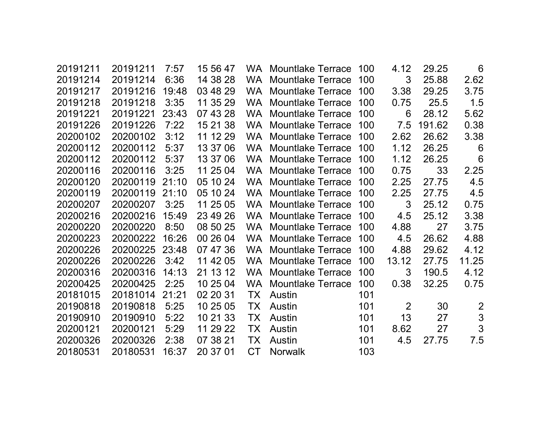| 20191211 | 20191211 | 7:57  | 15 56 47 | WA.       | <b>Mountlake Terrace</b> | 100 | 4.12           | 29.25  | 6               |
|----------|----------|-------|----------|-----------|--------------------------|-----|----------------|--------|-----------------|
| 20191214 | 20191214 | 6:36  | 14 38 28 | <b>WA</b> | <b>Mountlake Terrace</b> | 100 | 3              | 25.88  | 2.62            |
| 20191217 | 20191216 | 19:48 | 03 48 29 | <b>WA</b> | <b>Mountlake Terrace</b> | 100 | 3.38           | 29.25  | 3.75            |
| 20191218 | 20191218 | 3:35  | 11 35 29 | WA        | <b>Mountlake Terrace</b> | 100 | 0.75           | 25.5   | 1.5             |
| 20191221 | 20191221 | 23:43 | 07 43 28 | <b>WA</b> | <b>Mountlake Terrace</b> | 100 | 6              | 28.12  | 5.62            |
| 20191226 | 20191226 | 7:22  | 15 21 38 | <b>WA</b> | <b>Mountlake Terrace</b> | 100 | 7.5            | 191.62 | 0.38            |
| 20200102 | 20200102 | 3:12  | 11 12 29 | <b>WA</b> | <b>Mountlake Terrace</b> | 100 | 2.62           | 26.62  | 3.38            |
| 20200112 | 20200112 | 5:37  | 13 37 06 | <b>WA</b> | <b>Mountlake Terrace</b> | 100 | 1.12           | 26.25  | 6               |
| 20200112 | 20200112 | 5:37  | 13 37 06 | <b>WA</b> | <b>Mountlake Terrace</b> | 100 | 1.12           | 26.25  | $6\phantom{1}6$ |
| 20200116 | 20200116 | 3:25  | 11 25 04 | <b>WA</b> | <b>Mountlake Terrace</b> | 100 | 0.75           | 33     | 2.25            |
| 20200120 | 20200119 | 21:10 | 05 10 24 | <b>WA</b> | <b>Mountlake Terrace</b> | 100 | 2.25           | 27.75  | 4.5             |
| 20200119 | 20200119 | 21:10 | 05 10 24 | <b>WA</b> | <b>Mountlake Terrace</b> | 100 | 2.25           | 27.75  | 4.5             |
| 20200207 | 20200207 | 3:25  | 11 25 05 | <b>WA</b> | <b>Mountlake Terrace</b> | 100 | 3              | 25.12  | 0.75            |
| 20200216 | 20200216 | 15:49 | 23 49 26 | <b>WA</b> | <b>Mountlake Terrace</b> | 100 | 4.5            | 25.12  | 3.38            |
| 20200220 | 20200220 | 8:50  | 08 50 25 | <b>WA</b> | <b>Mountlake Terrace</b> | 100 | 4.88           | 27     | 3.75            |
| 20200223 | 20200222 | 16:26 | 00 26 04 | <b>WA</b> | <b>Mountlake Terrace</b> | 100 | 4.5            | 26.62  | 4.88            |
| 20200226 | 20200225 | 23:48 | 07 47 36 | <b>WA</b> | <b>Mountlake Terrace</b> | 100 | 4.88           | 29.62  | 4.12            |
| 20200226 | 20200226 | 3:42  | 11 42 05 | <b>WA</b> | <b>Mountlake Terrace</b> | 100 | 13.12          | 27.75  | 11.25           |
| 20200316 | 20200316 | 14:13 | 21 13 12 | <b>WA</b> | <b>Mountlake Terrace</b> | 100 | 3              | 190.5  | 4.12            |
| 20200425 | 20200425 | 2:25  | 10 25 04 | WA        | <b>Mountlake Terrace</b> | 100 | 0.38           | 32.25  | 0.75            |
| 20181015 | 20181014 | 21:21 | 02 20 31 | TX        | Austin                   | 101 |                |        |                 |
| 20190818 | 20190818 | 5:25  | 10 25 05 | ТX        | Austin                   | 101 | $\overline{2}$ | 30     | $\overline{2}$  |
| 20190910 | 20190910 | 5:22  | 10 21 33 | ТX        | Austin                   | 101 | 13             | 27     | 3               |
| 20200121 | 20200121 | 5:29  | 11 29 22 | TX        | Austin                   | 101 | 8.62           | 27     | 3               |
| 20200326 | 20200326 | 2:38  | 07 38 21 | TX        | Austin                   | 101 | 4.5            | 27.75  | 7.5             |
| 20180531 | 20180531 | 16:37 | 20 37 01 | СT        | <b>Norwalk</b>           | 103 |                |        |                 |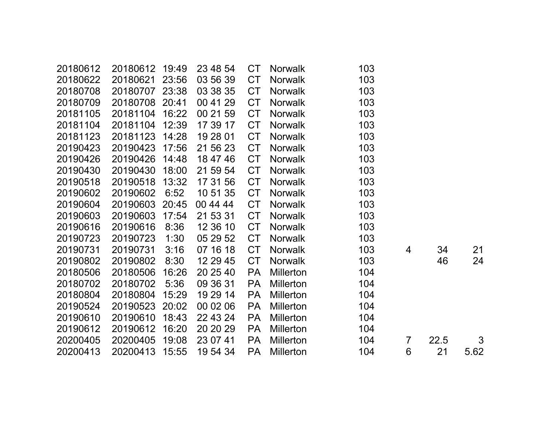| 20180612 | 20180612 | 19:49 | 23 48 54 | <b>CT</b> | <b>Norwalk</b>   | 103 |   |      |      |
|----------|----------|-------|----------|-----------|------------------|-----|---|------|------|
| 20180622 | 20180621 | 23:56 | 03 56 39 | <b>CT</b> | <b>Norwalk</b>   | 103 |   |      |      |
| 20180708 | 20180707 | 23:38 | 03 38 35 | <b>CT</b> | <b>Norwalk</b>   | 103 |   |      |      |
| 20180709 | 20180708 | 20:41 | 00 41 29 | <b>CT</b> | <b>Norwalk</b>   | 103 |   |      |      |
| 20181105 | 20181104 | 16:22 | 00 21 59 | <b>CT</b> | <b>Norwalk</b>   | 103 |   |      |      |
| 20181104 | 20181104 | 12:39 | 17 39 17 | <b>CT</b> | <b>Norwalk</b>   | 103 |   |      |      |
| 20181123 | 20181123 | 14:28 | 19 28 01 | <b>CT</b> | <b>Norwalk</b>   | 103 |   |      |      |
| 20190423 | 20190423 | 17:56 | 21 56 23 | <b>CT</b> | <b>Norwalk</b>   | 103 |   |      |      |
| 20190426 | 20190426 | 14:48 | 18 47 46 | <b>CT</b> | <b>Norwalk</b>   | 103 |   |      |      |
| 20190430 | 20190430 | 18:00 | 21 59 54 | <b>CT</b> | <b>Norwalk</b>   | 103 |   |      |      |
| 20190518 | 20190518 | 13:32 | 17 31 56 | <b>CT</b> | <b>Norwalk</b>   | 103 |   |      |      |
| 20190602 | 20190602 | 6:52  | 10 51 35 | <b>CT</b> | <b>Norwalk</b>   | 103 |   |      |      |
| 20190604 | 20190603 | 20:45 | 00 44 44 | <b>CT</b> | <b>Norwalk</b>   | 103 |   |      |      |
| 20190603 | 20190603 | 17:54 | 21 53 31 | <b>CT</b> | <b>Norwalk</b>   | 103 |   |      |      |
| 20190616 | 20190616 | 8:36  | 12 36 10 | <b>CT</b> | <b>Norwalk</b>   | 103 |   |      |      |
| 20190723 | 20190723 | 1:30  | 05 29 52 | <b>CT</b> | Norwalk          | 103 |   |      |      |
| 20190731 | 20190731 | 3:16  | 07 16 18 | <b>CT</b> | <b>Norwalk</b>   | 103 | 4 | 34   | 21   |
| 20190802 | 20190802 | 8:30  | 12 29 45 | <b>CT</b> | <b>Norwalk</b>   | 103 |   | 46   | 24   |
| 20180506 | 20180506 | 16:26 | 20 25 40 | <b>PA</b> | <b>Millerton</b> | 104 |   |      |      |
| 20180702 | 20180702 | 5:36  | 09 36 31 | <b>PA</b> | <b>Millerton</b> | 104 |   |      |      |
| 20180804 | 20180804 | 15:29 | 19 29 14 | <b>PA</b> | <b>Millerton</b> | 104 |   |      |      |
| 20190524 | 20190523 | 20:02 | 00 02 06 | <b>PA</b> | <b>Millerton</b> | 104 |   |      |      |
| 20190610 | 20190610 | 18:43 | 22 43 24 | <b>PA</b> | Millerton        | 104 |   |      |      |
| 20190612 | 20190612 | 16:20 | 20 20 29 | <b>PA</b> | <b>Millerton</b> | 104 |   |      |      |
| 20200405 | 20200405 | 19:08 | 23 07 41 | <b>PA</b> | <b>Millerton</b> | 104 | 7 | 22.5 | 3    |
| 20200413 | 20200413 | 15:55 | 19 54 34 | PA        | <b>Millerton</b> | 104 | 6 | 21   | 5.62 |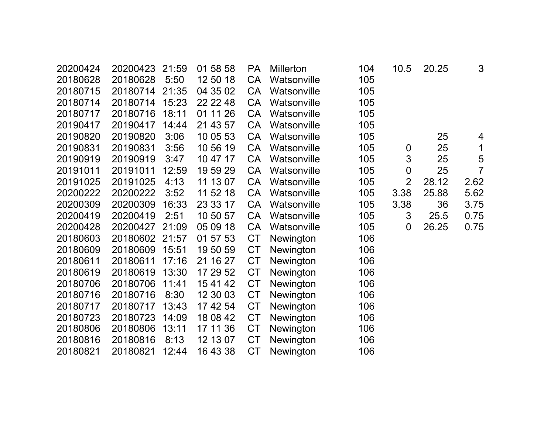| 20200424 | 20200423 | 21:59 | 01 58 58 | <b>PA</b> | <b>Millerton</b> | 104 | 10.5             | 20.25 | 3              |
|----------|----------|-------|----------|-----------|------------------|-----|------------------|-------|----------------|
| 20180628 | 20180628 | 5:50  | 12 50 18 | CA        | Watsonville      | 105 |                  |       |                |
| 20180715 | 20180714 | 21:35 | 04 35 02 | <b>CA</b> | Watsonville      | 105 |                  |       |                |
| 20180714 | 20180714 | 15:23 | 22 22 48 | CA        | Watsonville      | 105 |                  |       |                |
| 20180717 | 20180716 | 18:11 | 01 11 26 | CA        | Watsonville      | 105 |                  |       |                |
| 20190417 | 20190417 | 14:44 | 21 43 57 | <b>CA</b> | Watsonville      | 105 |                  |       |                |
| 20190820 | 20190820 | 3:06  | 10 05 53 | CA        | Watsonville      | 105 |                  | 25    | 4              |
| 20190831 | 20190831 | 3:56  | 10 56 19 | <b>CA</b> | Watsonville      | 105 | $\boldsymbol{0}$ | 25    | 1              |
| 20190919 | 20190919 | 3:47  | 10 47 17 | CA        | Watsonville      | 105 | 3                | 25    | 5              |
| 20191011 | 20191011 | 12:59 | 19 59 29 | <b>CA</b> | Watsonville      | 105 | $\boldsymbol{0}$ | 25    | $\overline{7}$ |
| 20191025 | 20191025 | 4:13  | 11 13 07 | <b>CA</b> | Watsonville      | 105 | $\overline{2}$   | 28.12 | 2.62           |
| 20200222 | 20200222 | 3:52  | 11 52 18 | CA        | Watsonville      | 105 | 3.38             | 25.88 | 5.62           |
| 20200309 | 20200309 | 16:33 | 23 33 17 | CA        | Watsonville      | 105 | 3.38             | 36    | 3.75           |
| 20200419 | 20200419 | 2:51  | 10 50 57 | CA        | Watsonville      | 105 | 3                | 25.5  | 0.75           |
| 20200428 | 20200427 | 21:09 | 05 09 18 | CA        | Watsonville      | 105 | $\overline{0}$   | 26.25 | 0.75           |
| 20180603 | 20180602 | 21:57 | 01 57 53 | <b>CT</b> | Newington        | 106 |                  |       |                |
| 20180609 | 20180609 | 15:51 | 19 50 59 | <b>CT</b> | Newington        | 106 |                  |       |                |
| 20180611 | 20180611 | 17:16 | 21 16 27 | <b>CT</b> | Newington        | 106 |                  |       |                |
| 20180619 | 20180619 | 13:30 | 17 29 52 | <b>CT</b> | Newington        | 106 |                  |       |                |
| 20180706 | 20180706 | 11:41 | 15 41 42 | <b>CT</b> | Newington        | 106 |                  |       |                |
| 20180716 | 20180716 | 8:30  | 12 30 03 | <b>CT</b> | Newington        | 106 |                  |       |                |
| 20180717 | 20180717 | 13:43 | 17 42 54 | <b>CT</b> | Newington        | 106 |                  |       |                |
| 20180723 | 20180723 | 14:09 | 18 08 42 | <b>CT</b> | Newington        | 106 |                  |       |                |
| 20180806 | 20180806 | 13:11 | 17 11 36 | <b>CT</b> | Newington        | 106 |                  |       |                |
| 20180816 | 20180816 | 8:13  | 12 13 07 | <b>CT</b> | Newington        | 106 |                  |       |                |
| 20180821 | 20180821 | 12:44 | 16 43 38 | <b>CT</b> | Newington        | 106 |                  |       |                |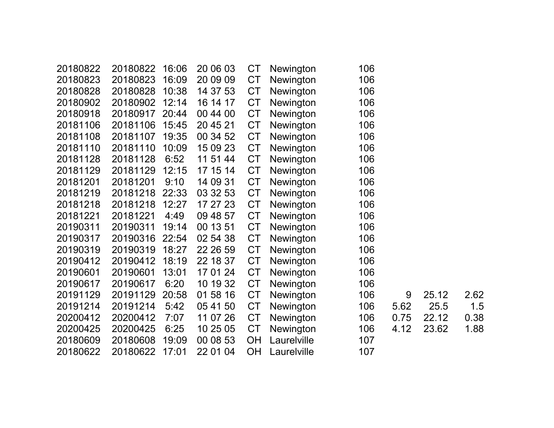| 20180822 | 16:06 | 20 06 03 | <b>CT</b> | Newington   | 106 |      |       |      |
|----------|-------|----------|-----------|-------------|-----|------|-------|------|
| 20180823 | 16:09 | 20 09 09 | <b>CT</b> | Newington   | 106 |      |       |      |
| 20180828 | 10:38 | 14 37 53 | <b>CT</b> | Newington   | 106 |      |       |      |
| 20180902 | 12:14 | 16 14 17 | <b>CT</b> | Newington   | 106 |      |       |      |
| 20180917 | 20:44 | 00 44 00 | <b>CT</b> | Newington   | 106 |      |       |      |
| 20181106 | 15:45 | 20 45 21 | <b>CT</b> | Newington   | 106 |      |       |      |
| 20181107 | 19:35 | 00 34 52 | <b>CT</b> | Newington   | 106 |      |       |      |
| 20181110 | 10:09 | 15 09 23 | <b>CT</b> | Newington   | 106 |      |       |      |
| 20181128 | 6:52  | 11 51 44 | <b>CT</b> | Newington   | 106 |      |       |      |
| 20181129 | 12:15 | 17 15 14 | <b>CT</b> | Newington   | 106 |      |       |      |
| 20181201 | 9:10  | 14 09 31 | <b>CT</b> | Newington   | 106 |      |       |      |
| 20181218 | 22:33 | 03 32 53 | <b>CT</b> | Newington   | 106 |      |       |      |
| 20181218 | 12:27 | 17 27 23 | <b>CT</b> | Newington   | 106 |      |       |      |
| 20181221 | 4:49  | 09 48 57 | <b>CT</b> | Newington   | 106 |      |       |      |
| 20190311 | 19:14 | 00 13 51 | <b>CT</b> | Newington   | 106 |      |       |      |
| 20190316 | 22:54 | 02 54 38 | <b>CT</b> | Newington   | 106 |      |       |      |
| 20190319 | 18:27 | 22 26 59 | <b>CT</b> | Newington   | 106 |      |       |      |
| 20190412 | 18:19 | 22 18 37 | <b>CT</b> | Newington   | 106 |      |       |      |
| 20190601 | 13:01 | 17 01 24 | <b>CT</b> | Newington   | 106 |      |       |      |
| 20190617 | 6:20  | 10 19 32 | <b>CT</b> | Newington   | 106 |      |       |      |
| 20191129 | 20:58 | 01 58 16 | <b>CT</b> | Newington   | 106 | 9    | 25.12 | 2.62 |
| 20191214 | 5:42  | 05 41 50 | <b>CT</b> | Newington   | 106 | 5.62 | 25.5  | 1.5  |
| 20200412 | 7:07  | 11 07 26 | <b>CT</b> | Newington   | 106 | 0.75 | 22.12 | 0.38 |
| 20200425 | 6:25  | 10 25 05 | <b>CT</b> | Newington   | 106 | 4.12 | 23.62 | 1.88 |
| 20180608 | 19:09 | 00 08 53 | <b>OH</b> | Laurelville | 107 |      |       |      |
| 20180622 | 17:01 | 22 01 04 | <b>OH</b> | Laurelville | 107 |      |       |      |
|          |       |          |           |             |     |      |       |      |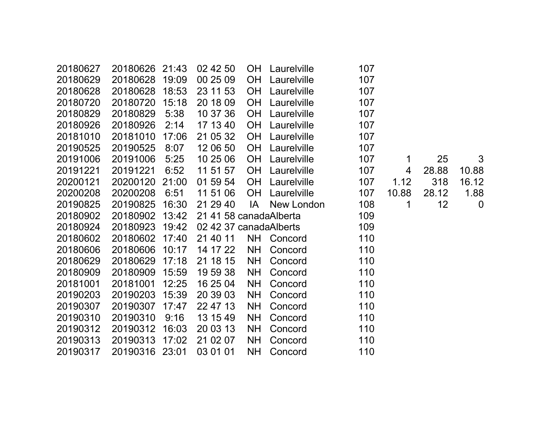| 20180627 | 20180626       | 21:43 | 02 42 50               | <b>OH</b> | Laurelville | 107 |       |       |             |
|----------|----------------|-------|------------------------|-----------|-------------|-----|-------|-------|-------------|
| 20180629 | 20180628       | 19:09 | 00 25 09               | <b>OH</b> | Laurelville | 107 |       |       |             |
| 20180628 | 20180628       | 18:53 | 23 11 53               | <b>OH</b> | Laurelville | 107 |       |       |             |
| 20180720 | 20180720       | 15:18 | 20 18 09               | <b>OH</b> | Laurelville | 107 |       |       |             |
| 20180829 | 20180829       | 5:38  | 10 37 36               | <b>OH</b> | Laurelville | 107 |       |       |             |
| 20180926 | 20180926       | 2:14  | 17 13 40               | <b>OH</b> | Laurelville | 107 |       |       |             |
| 20181010 | 20181010       | 17:06 | 21 05 32               | <b>OH</b> | Laurelville | 107 |       |       |             |
| 20190525 | 20190525       | 8:07  | 12 06 50               | <b>OH</b> | Laurelville | 107 |       |       |             |
| 20191006 | 20191006       | 5:25  | 10 25 06               | <b>OH</b> | Laurelville | 107 | 1     | 25    | 3           |
| 20191221 | 20191221       | 6:52  | 11 51 57               | <b>OH</b> | Laurelville | 107 | 4     | 28.88 | 10.88       |
| 20200121 | 20200120       | 21:00 | 01 59 54               | <b>OH</b> | Laurelville | 107 | 1.12  | 318   | 16.12       |
| 20200208 | 20200208       | 6:51  | 11 51 06               | <b>OH</b> | Laurelville | 107 | 10.88 | 28.12 | 1.88        |
| 20190825 | 20190825       | 16:30 | 21 29 40               | IA        | New London  | 108 | 1     | 12    | $\mathbf 0$ |
| 20180902 | 20180902       | 13:42 | 21 41 58 canadaAlberta |           |             | 109 |       |       |             |
| 20180924 | 20180923       | 19:42 | 02 42 37 canadaAlberts |           |             | 109 |       |       |             |
| 20180602 | 20180602       | 17:40 | 21 40 11               | <b>NH</b> | Concord     | 110 |       |       |             |
| 20180606 | 20180606       | 10:17 | 14 17 22               | <b>NH</b> | Concord     | 110 |       |       |             |
| 20180629 | 20180629       | 17:18 | 21 18 15               | <b>NH</b> | Concord     | 110 |       |       |             |
| 20180909 | 20180909       | 15:59 | 19 59 38               | <b>NH</b> | Concord     | 110 |       |       |             |
| 20181001 | 20181001       | 12:25 | 16 25 04               | <b>NH</b> | Concord     | 110 |       |       |             |
| 20190203 | 20190203       | 15:39 | 20 39 03               | <b>NH</b> | Concord     | 110 |       |       |             |
| 20190307 | 20190307       | 17:47 | 22 47 13               | <b>NH</b> | Concord     | 110 |       |       |             |
| 20190310 | 20190310       | 9:16  | 13 15 49               | <b>NH</b> | Concord     | 110 |       |       |             |
| 20190312 | 20190312       | 16:03 | 20 03 13               | <b>NH</b> | Concord     | 110 |       |       |             |
| 20190313 | 20190313       | 17:02 | 21 02 07               | <b>NH</b> | Concord     | 110 |       |       |             |
| 20190317 | 20190316 23:01 |       | 03 01 01               | <b>NH</b> | Concord     | 110 |       |       |             |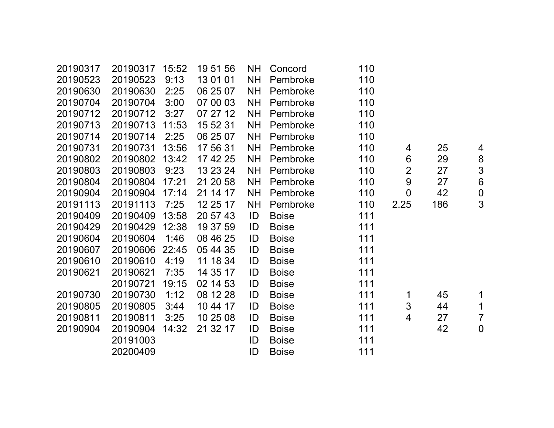| 20190317 | 20190317 | 15:52 | 19 51 56 | NH.       | Concord      | 110 |                |     |                  |
|----------|----------|-------|----------|-----------|--------------|-----|----------------|-----|------------------|
| 20190523 | 20190523 | 9:13  | 13 01 01 | <b>NH</b> | Pembroke     | 110 |                |     |                  |
| 20190630 | 20190630 | 2:25  | 06 25 07 | <b>NH</b> | Pembroke     | 110 |                |     |                  |
| 20190704 | 20190704 | 3:00  | 07 00 03 | <b>NH</b> | Pembroke     | 110 |                |     |                  |
| 20190712 | 20190712 | 3:27  | 07 27 12 | <b>NH</b> | Pembroke     | 110 |                |     |                  |
| 20190713 | 20190713 | 11:53 | 15 52 31 | <b>NH</b> | Pembroke     | 110 |                |     |                  |
| 20190714 | 20190714 | 2:25  | 06 25 07 | <b>NH</b> | Pembroke     | 110 |                |     |                  |
| 20190731 | 20190731 | 13:56 | 17 56 31 | <b>NH</b> | Pembroke     | 110 | 4              | 25  | 4                |
| 20190802 | 20190802 | 13:42 | 17 42 25 | <b>NH</b> | Pembroke     | 110 | $6\phantom{1}$ | 29  | $\bf 8$          |
| 20190803 | 20190803 | 9:23  | 13 23 24 | <b>NH</b> | Pembroke     | 110 | $\overline{2}$ | 27  | $\mathfrak{S}$   |
| 20190804 | 20190804 | 17:21 | 21 20 58 | <b>NH</b> | Pembroke     | 110 | 9              | 27  | $\overline{6}$   |
| 20190904 | 20190904 | 17:14 | 21 14 17 | <b>NH</b> | Pembroke     | 110 | $\overline{0}$ | 42  | $\boldsymbol{0}$ |
| 20191113 | 20191113 | 7:25  | 12 25 17 | <b>NH</b> | Pembroke     | 110 | 2.25           | 186 | 3                |
| 20190409 | 20190409 | 13:58 | 20 57 43 | ID        | <b>Boise</b> | 111 |                |     |                  |
| 20190429 | 20190429 | 12:38 | 19 37 59 | ID        | <b>Boise</b> | 111 |                |     |                  |
| 20190604 | 20190604 | 1:46  | 08 46 25 | ID        | <b>Boise</b> | 111 |                |     |                  |
| 20190607 | 20190606 | 22:45 | 05 44 35 | ID        | <b>Boise</b> | 111 |                |     |                  |
| 20190610 | 20190610 | 4:19  | 11 18 34 | ID        | <b>Boise</b> | 111 |                |     |                  |
| 20190621 | 20190621 | 7:35  | 14 35 17 | ID        | <b>Boise</b> | 111 |                |     |                  |
|          | 20190721 | 19:15 | 02 14 53 | ID        | <b>Boise</b> | 111 |                |     |                  |
| 20190730 | 20190730 | 1:12  | 08 12 28 | ID        | <b>Boise</b> | 111 | 1              | 45  | $\mathbf 1$      |
| 20190805 | 20190805 | 3:44  | 10 44 17 | ID        | <b>Boise</b> | 111 | 3              | 44  | $\mathbf 1$      |
| 20190811 | 20190811 | 3:25  | 10 25 08 | ID        | <b>Boise</b> | 111 | 4              | 27  | $\overline{7}$   |
| 20190904 | 20190904 | 14:32 | 21 32 17 | ID        | <b>Boise</b> | 111 |                | 42  | $\mathbf 0$      |
|          | 20191003 |       |          | ID        | <b>Boise</b> | 111 |                |     |                  |
|          | 20200409 |       |          | ID        | <b>Boise</b> | 111 |                |     |                  |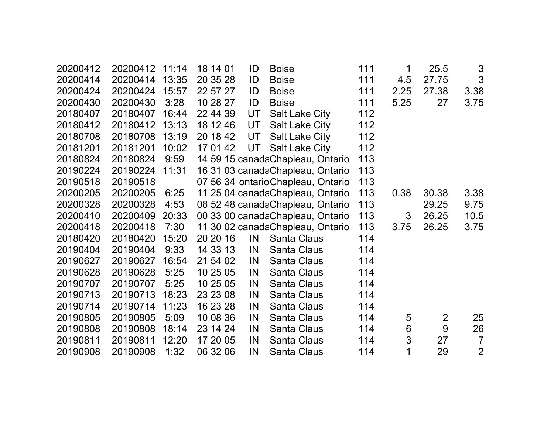| 20200412 | 20200412 11:14 |       | 18 14 01 | ID | <b>Boise</b>                      | 111 | 1              | 25.5           | $\mathfrak{S}$ |  |
|----------|----------------|-------|----------|----|-----------------------------------|-----|----------------|----------------|----------------|--|
| 20200414 | 20200414       | 13:35 | 20 35 28 | ID | <b>Boise</b>                      | 111 | 4.5            | 27.75          | 3              |  |
| 20200424 | 20200424 15:57 |       | 22 57 27 | ID | <b>Boise</b>                      | 111 | 2.25           | 27.38          | 3.38           |  |
| 20200430 | 20200430       | 3:28  | 10 28 27 | ID | <b>Boise</b>                      | 111 | 5.25           | 27             | 3.75           |  |
| 20180407 | 20180407       | 16:44 | 22 44 39 | UT | <b>Salt Lake City</b>             | 112 |                |                |                |  |
| 20180412 | 20180412 13:13 |       | 18 12 46 | UT | <b>Salt Lake City</b>             | 112 |                |                |                |  |
| 20180708 | 20180708 13:19 |       | 20 18 42 | UT | <b>Salt Lake City</b>             | 112 |                |                |                |  |
| 20181201 | 20181201       | 10:02 | 17 01 42 | UT | <b>Salt Lake City</b>             | 112 |                |                |                |  |
| 20180824 | 20180824       | 9:59  |          |    | 14 59 15 canadaChapleau, Ontario  | 113 |                |                |                |  |
| 20190224 | 20190224 11:31 |       |          |    | 16 31 03 canadaChapleau, Ontario  | 113 |                |                |                |  |
| 20190518 | 20190518       |       |          |    | 07 56 34 ontarioChapleau, Ontario | 113 |                |                |                |  |
| 20200205 | 20200205       | 6:25  |          |    | 11 25 04 canadaChapleau, Ontario  | 113 | 0.38           | 30.38          | 3.38           |  |
| 20200328 | 20200328       | 4:53  |          |    | 08 52 48 canadaChapleau, Ontario  | 113 |                | 29.25          | 9.75           |  |
| 20200410 | 20200409 20:33 |       |          |    | 00 33 00 canadaChapleau, Ontario  | 113 | 3              | 26.25          | 10.5           |  |
| 20200418 | 20200418       | 7:30  |          |    | 11 30 02 canadaChapleau, Ontario  | 113 | 3.75           | 26.25          | 3.75           |  |
| 20180420 | 20180420       | 15:20 | 20 20 16 | IN | Santa Claus                       | 114 |                |                |                |  |
| 20190404 | 20190404       | 9:33  | 14 33 13 | IN | Santa Claus                       | 114 |                |                |                |  |
| 20190627 | 20190627       | 16:54 | 21 54 02 | IN | <b>Santa Claus</b>                | 114 |                |                |                |  |
| 20190628 | 20190628       | 5:25  | 10 25 05 | IN | Santa Claus                       | 114 |                |                |                |  |
| 20190707 | 20190707       | 5:25  | 10 25 05 | IN | Santa Claus                       | 114 |                |                |                |  |
| 20190713 | 20190713       | 18:23 | 23 23 08 | IN | Santa Claus                       | 114 |                |                |                |  |
| 20190714 | 20190714       | 11:23 | 16 23 28 | IN | Santa Claus                       | 114 |                |                |                |  |
| 20190805 | 20190805       | 5:09  | 10 08 36 | IN | Santa Claus                       | 114 | $\overline{5}$ | $\overline{2}$ | 25             |  |
| 20190808 | 20190808       | 18:14 | 23 14 24 | IN | Santa Claus                       | 114 | $6\,$          | 9              | 26             |  |
| 20190811 | 20190811       | 12:20 | 17 20 05 | IN | Santa Claus                       | 114 | $\mathfrak{S}$ | 27             | $\overline{7}$ |  |
| 20190908 | 20190908       | 1:32  | 06 32 06 | IN | Santa Claus                       | 114 | 1              | 29             | $\overline{2}$ |  |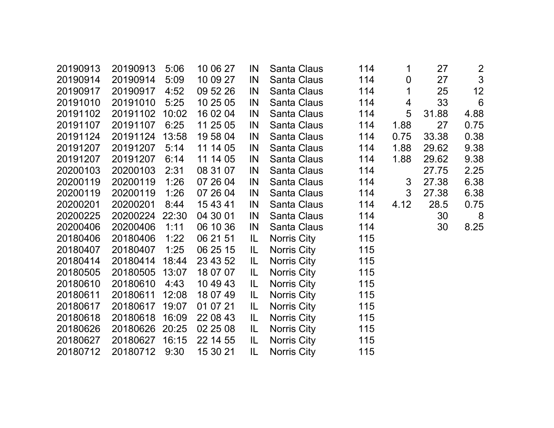| 20190913 | 20190913 | 5:06  | 10 06 27 | IN  | Santa Claus        | 114 | 1              | 27    |                 |
|----------|----------|-------|----------|-----|--------------------|-----|----------------|-------|-----------------|
| 20190914 | 20190914 | 5:09  | 10 09 27 | IN  | Santa Claus        | 114 | $\pmb{0}$      | 27    | $\frac{2}{3}$   |
| 20190917 | 20190917 | 4:52  | 09 52 26 | IN  | Santa Claus        | 114 | $\mathbf 1$    | 25    | 12              |
| 20191010 | 20191010 | 5:25  | 10 25 05 | IN  | <b>Santa Claus</b> | 114 | $\overline{4}$ | 33    | $6\phantom{1}6$ |
| 20191102 | 20191102 | 10:02 | 16 02 04 | IN  | <b>Santa Claus</b> | 114 | 5              | 31.88 | 4.88            |
| 20191107 | 20191107 | 6:25  | 11 25 05 | IN  | <b>Santa Claus</b> | 114 | 1.88           | 27    | 0.75            |
| 20191124 | 20191124 | 13:58 | 19 58 04 | IN  | Santa Claus        | 114 | 0.75           | 33.38 | 0.38            |
| 20191207 | 20191207 | 5:14  | 11 14 05 | IN  | Santa Claus        | 114 | 1.88           | 29.62 | 9.38            |
| 20191207 | 20191207 | 6:14  | 11 14 05 | IN  | Santa Claus        | 114 | 1.88           | 29.62 | 9.38            |
| 20200103 | 20200103 | 2:31  | 08 31 07 | IN  | Santa Claus        | 114 |                | 27.75 | 2.25            |
| 20200119 | 20200119 | 1:26  | 07 26 04 | IN  | Santa Claus        | 114 | 3              | 27.38 | 6.38            |
| 20200119 | 20200119 | 1:26  | 07 26 04 | IN  | Santa Claus        | 114 | $\mathbf{3}$   | 27.38 | 6.38            |
| 20200201 | 20200201 | 8:44  | 15 43 41 | IN  | Santa Claus        | 114 | 4.12           | 28.5  | 0.75            |
| 20200225 | 20200224 | 22:30 | 04 30 01 | IN  | Santa Claus        | 114 |                | 30    | 8               |
| 20200406 | 20200406 | 1:11  | 06 10 36 | IN  | <b>Santa Claus</b> | 114 |                | 30    | 8.25            |
| 20180406 | 20180406 | 1:22  | 06 21 51 | IL. | Norris City        | 115 |                |       |                 |
| 20180407 | 20180407 | 1:25  | 06 25 15 | IL  | Norris City        | 115 |                |       |                 |
| 20180414 | 20180414 | 18:44 | 23 43 52 | IL. | Norris City        | 115 |                |       |                 |
| 20180505 | 20180505 | 13:07 | 18 07 07 | IL. | Norris City        | 115 |                |       |                 |
| 20180610 | 20180610 | 4:43  | 10 49 43 | IL  | Norris City        | 115 |                |       |                 |
| 20180611 | 20180611 | 12:08 | 18 07 49 | IL  | Norris City        | 115 |                |       |                 |
| 20180617 | 20180617 | 19:07 | 01 07 21 | IL. | <b>Norris City</b> | 115 |                |       |                 |
| 20180618 | 20180618 | 16:09 | 22 08 43 | IL  | Norris City        | 115 |                |       |                 |
| 20180626 | 20180626 | 20:25 | 02 25 08 | IL  | Norris City        | 115 |                |       |                 |
| 20180627 | 20180627 | 16:15 | 22 14 55 | IL. | Norris City        | 115 |                |       |                 |
| 20180712 | 20180712 | 9:30  | 15 30 21 | IL  | Norris City        | 115 |                |       |                 |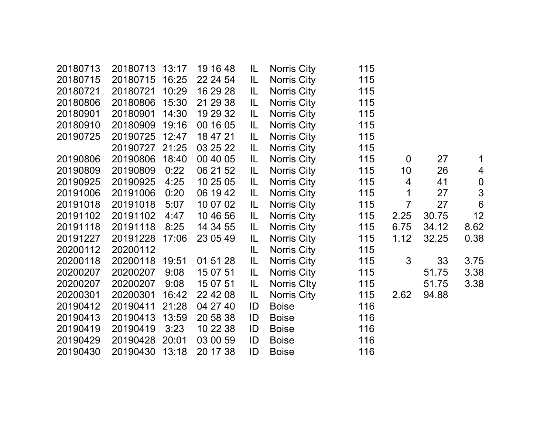| 20180713 | 20180713       | 13:17 | 19 16 48 | IL  | <b>Norris City</b> | 115 |                 |       |                  |
|----------|----------------|-------|----------|-----|--------------------|-----|-----------------|-------|------------------|
| 20180715 | 20180715       | 16:25 | 22 24 54 | IL. | Norris City        | 115 |                 |       |                  |
| 20180721 | 20180721       | 10:29 | 16 29 28 | IL. | <b>Norris City</b> | 115 |                 |       |                  |
| 20180806 | 20180806       | 15:30 | 21 29 38 | IL  | <b>Norris City</b> | 115 |                 |       |                  |
| 20180901 | 20180901       | 14:30 | 19 29 32 | IL. | <b>Norris City</b> | 115 |                 |       |                  |
| 20180910 | 20180909       | 19:16 | 00 16 05 | IL. | <b>Norris City</b> | 115 |                 |       |                  |
| 20190725 | 20190725       | 12:47 | 18 47 21 | IL  | Norris City        | 115 |                 |       |                  |
|          | 20190727 21:25 |       | 03 25 22 | IL  | <b>Norris City</b> | 115 |                 |       |                  |
| 20190806 | 20190806       | 18:40 | 00 40 05 | IL  | <b>Norris City</b> | 115 | $\mathbf 0$     | 27    | 1                |
| 20190809 | 20190809       | 0:22  | 06 21 52 | IL. | <b>Norris City</b> | 115 | 10 <sup>°</sup> | 26    | 4                |
| 20190925 | 20190925       | 4:25  | 10 25 05 | IL. | <b>Norris City</b> | 115 | $\overline{4}$  | 41    | $\boldsymbol{0}$ |
| 20191006 | 20191006       | 0:20  | 06 19 42 | IL  | <b>Norris City</b> | 115 | $\mathbf 1$     | 27    | $\mathfrak{S}$   |
| 20191018 | 20191018       | 5:07  | 10 07 02 | IL  | <b>Norris City</b> | 115 | $\overline{7}$  | 27    | $6\phantom{1}6$  |
| 20191102 | 20191102       | 4:47  | 10 46 56 | IL. | <b>Norris City</b> | 115 | 2.25            | 30.75 | 12               |
| 20191118 | 20191118       | 8:25  | 14 34 55 | IL  | <b>Norris City</b> | 115 | 6.75            | 34.12 | 8.62             |
| 20191227 | 20191228       | 17:06 | 23 05 49 | IL. | <b>Norris City</b> | 115 | 1.12            | 32.25 | 0.38             |
| 20200112 | 20200112       |       |          | IL. | <b>Norris City</b> | 115 |                 |       |                  |
| 20200118 | 20200118       | 19:51 | 01 51 28 | IL  | <b>Norris City</b> | 115 | 3               | 33    | 3.75             |
| 20200207 | 20200207       | 9:08  | 15 07 51 | IL. | <b>Norris City</b> | 115 |                 | 51.75 | 3.38             |
| 20200207 | 20200207       | 9:08  | 15 07 51 | IL. | Norris Clty        | 115 |                 | 51.75 | 3.38             |
| 20200301 | 20200301       | 16:42 | 22 42 08 | IL. | <b>Norris City</b> | 115 | 2.62            | 94.88 |                  |
| 20190412 | 20190411       | 21:28 | 04 27 40 | ID  | <b>Boise</b>       | 116 |                 |       |                  |
| 20190413 | 20190413       | 13:59 | 20 58 38 | ID  | <b>Boise</b>       | 116 |                 |       |                  |
| 20190419 | 20190419       | 3:23  | 10 22 38 | ID  | <b>Boise</b>       | 116 |                 |       |                  |
| 20190429 | 20190428       | 20:01 | 03 00 59 | ID  | <b>Boise</b>       | 116 |                 |       |                  |
| 20190430 | 20190430       | 13:18 | 20 17 38 | ID  | <b>Boise</b>       | 116 |                 |       |                  |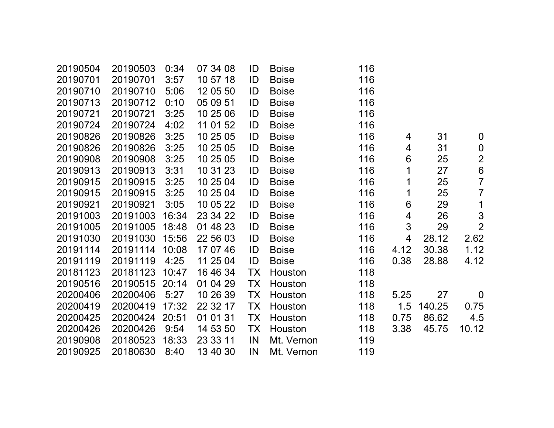| 20190504 | 20190503 | 0:34  | 07 34 08 | ID        | <b>Boise</b> | 116 |      |        |                  |
|----------|----------|-------|----------|-----------|--------------|-----|------|--------|------------------|
| 20190701 | 20190701 | 3:57  | 10 57 18 | ID        | <b>Boise</b> | 116 |      |        |                  |
| 20190710 | 20190710 | 5:06  | 12 05 50 | ID        | <b>Boise</b> | 116 |      |        |                  |
| 20190713 | 20190712 | 0:10  | 05 09 51 | ID        | <b>Boise</b> | 116 |      |        |                  |
| 20190721 | 20190721 | 3:25  | 10 25 06 | ID        | <b>Boise</b> | 116 |      |        |                  |
| 20190724 | 20190724 | 4:02  | 11 01 52 | ID        | <b>Boise</b> | 116 |      |        |                  |
| 20190826 | 20190826 | 3:25  | 10 25 05 | ID        | <b>Boise</b> | 116 | 4    | 31     | $\mathbf 0$      |
| 20190826 | 20190826 | 3:25  | 10 25 05 | ID        | <b>Boise</b> | 116 | 4    | 31     | $\boldsymbol{0}$ |
| 20190908 | 20190908 | 3:25  | 10 25 05 | ID        | <b>Boise</b> | 116 | 6    | 25     | $\overline{2}$   |
| 20190913 | 20190913 | 3:31  | 10 31 23 | ID        | <b>Boise</b> | 116 | 1    | 27     | $\overline{6}$   |
| 20190915 | 20190915 | 3:25  | 10 25 04 | ID        | <b>Boise</b> | 116 | 1    | 25     | $\overline{7}$   |
| 20190915 | 20190915 | 3:25  | 10 25 04 | ID        | <b>Boise</b> | 116 | 1    | 25     | $\overline{7}$   |
| 20190921 | 20190921 | 3:05  | 10 05 22 | ID        | <b>Boise</b> | 116 | 6    | 29     | 1                |
| 20191003 | 20191003 | 16:34 | 23 34 22 | ID        | <b>Boise</b> | 116 | 4    | 26     | 3                |
| 20191005 | 20191005 | 18:48 | 01 48 23 | ID        | <b>Boise</b> | 116 | 3    | 29     | $\overline{2}$   |
| 20191030 | 20191030 | 15:56 | 22 56 03 | ID        | <b>Boise</b> | 116 | 4    | 28.12  | 2.62             |
| 20191114 | 20191114 | 10:08 | 17 07 46 | ID        | <b>Boise</b> | 116 | 4.12 | 30.38  | 1.12             |
| 20191119 | 20191119 | 4:25  | 11 25 04 | ID        | <b>Boise</b> | 116 | 0.38 | 28.88  | 4.12             |
| 20181123 | 20181123 | 10:47 | 16 46 34 | <b>TX</b> | Houston      | 118 |      |        |                  |
| 20190516 | 20190515 | 20:14 | 01 04 29 | <b>TX</b> | Houston      | 118 |      |        |                  |
| 20200406 | 20200406 | 5:27  | 10 26 39 | <b>TX</b> | Houston      | 118 | 5.25 | 27     | $\overline{0}$   |
| 20200419 | 20200419 | 17:32 | 22 32 17 | <b>TX</b> | Houston      | 118 | 1.5  | 140.25 | 0.75             |
| 20200425 | 20200424 | 20:51 | 01 01 31 | <b>TX</b> | Houston      | 118 | 0.75 | 86.62  | 4.5              |
| 20200426 | 20200426 | 9:54  | 14 53 50 | <b>TX</b> | Houston      | 118 | 3.38 | 45.75  | 10.12            |
| 20190908 | 20180523 | 18:33 | 23 33 11 | IN        | Mt. Vernon   | 119 |      |        |                  |
| 20190925 | 20180630 | 8:40  | 13 40 30 | IN        | Mt. Vernon   | 119 |      |        |                  |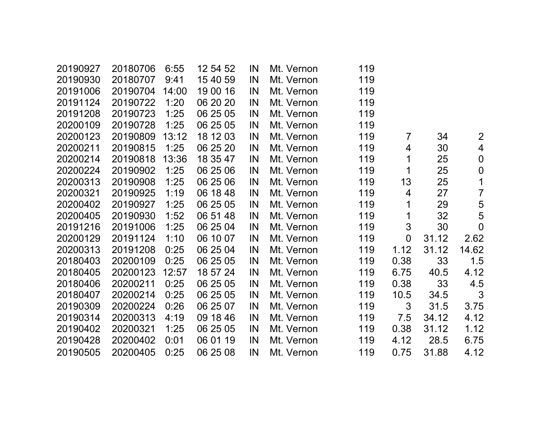| 20190927 | 20180706 | 6:55  | 12 54 52 | IN | Mt. Vernon | 119 |                |       |                |
|----------|----------|-------|----------|----|------------|-----|----------------|-------|----------------|
| 20190930 | 20180707 | 9:41  | 15 40 59 | IN | Mt. Vernon | 119 |                |       |                |
| 20191006 | 20190704 | 14:00 | 19 00 16 | IN | Mt. Vernon | 119 |                |       |                |
| 20191124 | 20190722 | 1:20  | 06 20 20 | IN | Mt. Vernon | 119 |                |       |                |
| 20191208 | 20190723 | 1:25  | 06 25 05 | IN | Mt. Vernon | 119 |                |       |                |
| 20200109 | 20190728 | 1:25  | 06 25 05 | IN | Mt. Vernon | 119 |                |       |                |
| 20200123 | 20190809 | 13:12 | 18 12 03 | IN | Mt. Vernon | 119 | $\overline{7}$ | 34    | $\overline{2}$ |
| 20200211 | 20190815 | 1:25  | 06 25 20 | IN | Mt. Vernon | 119 | 4              | 30    | $\overline{4}$ |
| 20200214 | 20190818 | 13:36 | 18 35 47 | IN | Mt. Vernon | 119 | 1              | 25    | $\mathbf 0$    |
| 20200224 | 20190902 | 1:25  | 06 25 06 | IN | Mt. Vernon | 119 | 1              | 25    | $\mathbf 0$    |
| 20200313 | 20190908 | 1:25  | 06 25 06 | IN | Mt. Vernon | 119 | 13             | 25    | $\mathbf 1$    |
| 20200321 | 20190925 | 1:19  | 06 18 48 | IN | Mt. Vernon | 119 | 4              | 27    | $\overline{7}$ |
| 20200402 | 20190927 | 1:25  | 06 25 05 | IN | Mt. Vernon | 119 | 1              | 29    | 5              |
| 20200405 | 20190930 | 1:52  | 06 51 48 | IN | Mt. Vernon | 119 | $\mathbf 1$    | 32    | 5              |
| 20191216 | 20191006 | 1:25  | 06 25 04 | IN | Mt. Vernon | 119 | 3              | 30    | $\overline{0}$ |
| 20200129 | 20191124 | 1:10  | 06 10 07 | IN | Mt. Vernon | 119 | $\overline{0}$ | 31.12 | 2.62           |
| 20200313 | 20191208 | 0:25  | 06 25 04 | IN | Mt. Vernon | 119 | 1.12           | 31.12 | 14.62          |
| 20180403 | 20200109 | 0:25  | 06 25 05 | IN | Mt. Vernon | 119 | 0.38           | 33    | 1.5            |
| 20180405 | 20200123 | 12:57 | 18 57 24 | IN | Mt. Vernon | 119 | 6.75           | 40.5  | 4.12           |
| 20180406 | 20200211 | 0:25  | 06 25 05 | IN | Mt. Vernon | 119 | 0.38           | 33    | 4.5            |
| 20180407 | 20200214 | 0:25  | 06 25 05 | IN | Mt. Vernon | 119 | 10.5           | 34.5  | 3              |
| 20190309 | 20200224 | 0:26  | 06 25 07 | IN | Mt. Vernon | 119 | 3              | 31.5  | 3.75           |
| 20190314 | 20200313 | 4:19  | 09 18 46 | IN | Mt. Vernon | 119 | 7.5            | 34.12 | 4.12           |
| 20190402 | 20200321 | 1:25  | 06 25 05 | IN | Mt. Vernon | 119 | 0.38           | 31.12 | 1.12           |
| 20190428 | 20200402 | 0:01  | 06 01 19 | IN | Mt. Vernon | 119 | 4.12           | 28.5  | 6.75           |
| 20190505 | 20200405 | 0:25  | 06 25 08 | IN | Mt. Vernon | 119 | 0.75           | 31.88 | 4.12           |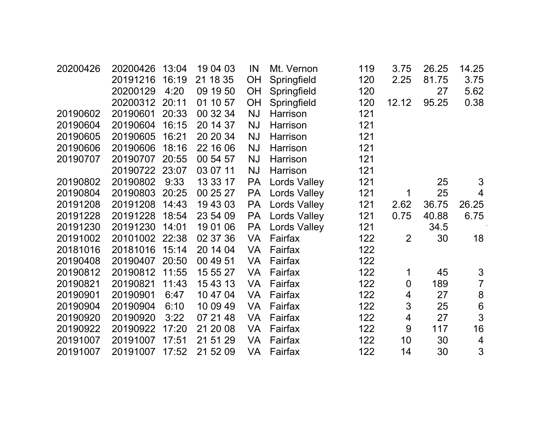| 20200426 | 20200426       | 13:04 | 19 04 03 | IN        | Mt. Vernon          | 119 | 3.75           | 26.25 | 14.25          |  |
|----------|----------------|-------|----------|-----------|---------------------|-----|----------------|-------|----------------|--|
|          | 20191216       | 16:19 | 21 18 35 | OH        | Springfield         | 120 | 2.25           | 81.75 | 3.75           |  |
|          | 20200129       | 4:20  | 09 19 50 | OH        | Springfield         | 120 |                | 27    | 5.62           |  |
|          | 20200312       | 20:11 | 01 10 57 | <b>OH</b> | Springfield         | 120 | 12.12          | 95.25 | 0.38           |  |
| 20190602 | 20190601       | 20:33 | 00 32 34 | <b>NJ</b> | Harrison            | 121 |                |       |                |  |
| 20190604 | 20190604       | 16:15 | 20 14 37 | <b>NJ</b> | Harrison            | 121 |                |       |                |  |
| 20190605 | 20190605       | 16:21 | 20 20 34 | <b>NJ</b> | Harrison            | 121 |                |       |                |  |
| 20190606 | 20190606       | 18:16 | 22 16 06 | <b>NJ</b> | Harrison            | 121 |                |       |                |  |
| 20190707 | 20190707       | 20:55 | 00 54 57 | <b>NJ</b> | Harrison            | 121 |                |       |                |  |
|          | 20190722 23:07 |       | 03 07 11 | <b>NJ</b> | Harrison            | 121 |                |       |                |  |
| 20190802 | 20190802       | 9:33  | 13 33 17 | <b>PA</b> | <b>Lords Valley</b> | 121 |                | 25    | 3              |  |
| 20190804 | 20190803 20:25 |       | 00 25 27 | <b>PA</b> | <b>Lords Valley</b> | 121 | 1              | 25    | $\overline{4}$ |  |
| 20191208 | 20191208       | 14:43 | 19 43 03 | <b>PA</b> | <b>Lords Valley</b> | 121 | 2.62           | 36.75 | 26.25          |  |
| 20191228 | 20191228       | 18:54 | 23 54 09 | <b>PA</b> | Lords Valley        | 121 | 0.75           | 40.88 | 6.75           |  |
| 20191230 | 20191230       | 14:01 | 19 01 06 | <b>PA</b> | <b>Lords Valley</b> | 121 |                | 34.5  |                |  |
| 20191002 | 20101002 22:38 |       | 02 37 36 | <b>VA</b> | Fairfax             | 122 | $\overline{2}$ | 30    | 18             |  |
| 20181016 | 20181016 15:14 |       | 20 14 04 | <b>VA</b> | Fairfax             | 122 |                |       |                |  |
| 20190408 | 20190407       | 20:50 | 00 49 51 | VA        | Fairfax             | 122 |                |       |                |  |
| 20190812 | 20190812 11:55 |       | 15 55 27 | <b>VA</b> | Fairfax             | 122 | 1              | 45    | $\mathfrak{S}$ |  |
| 20190821 | 20190821       | 11:43 | 15 43 13 | <b>VA</b> | Fairfax             | 122 | $\mathbf 0$    | 189   | $\overline{7}$ |  |
| 20190901 | 20190901       | 6:47  | 10 47 04 | <b>VA</b> | Fairfax             | 122 | 4              | 27    | $\bf 8$        |  |
| 20190904 | 20190904       | 6:10  | 10 09 49 | <b>VA</b> | Fairfax             | 122 | 3              | 25    | $6\,$          |  |
| 20190920 | 20190920       | 3:22  | 07 21 48 | <b>VA</b> | Fairfax             | 122 | 4              | 27    | 3              |  |
| 20190922 | 20190922       | 17:20 | 21 20 08 | <b>VA</b> | Fairfax             | 122 | 9              | 117   | 16             |  |
| 20191007 | 20191007       | 17:51 | 21 51 29 | <b>VA</b> | Fairfax             | 122 | 10             | 30    | 4              |  |
| 20191007 | 20191007       | 17:52 | 21 52 09 | VA        | Fairfax             | 122 | 14             | 30    | 3              |  |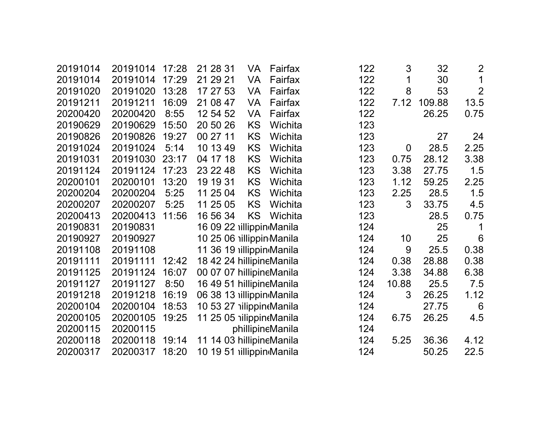| 20191014 | 20191014 | 17:28 | 21 28 31                 | VA        | Fairfax          | 122 | 3              | 32     | $\overline{2}$ |
|----------|----------|-------|--------------------------|-----------|------------------|-----|----------------|--------|----------------|
| 20191014 | 20191014 | 17:29 | 21 29 21                 | <b>VA</b> | Fairfax          | 122 | 1              | 30     | 1              |
| 20191020 | 20191020 | 13:28 | 17 27 53                 | <b>VA</b> | Fairfax          | 122 | 8              | 53     | $\overline{2}$ |
| 20191211 | 20191211 | 16:09 | 21 08 47                 | VA        | Fairfax          | 122 | 7.12           | 109.88 | 13.5           |
| 20200420 | 20200420 | 8:55  | 12 54 52                 | VA        | Fairfax          | 122 |                | 26.25  | 0.75           |
| 20190629 | 20190629 | 15:50 | 20 50 26                 | <b>KS</b> | Wichita          | 123 |                |        |                |
| 20190826 | 20190826 | 19:27 | 00 27 11                 | KS        | Wichita          | 123 |                | 27     | 24             |
| 20191024 | 20191024 | 5:14  | 10 13 49                 | <b>KS</b> | Wichita          | 123 | $\overline{0}$ | 28.5   | 2.25           |
| 20191031 | 20191030 | 23:17 | 04 17 18                 | KS        | Wichita          | 123 | 0.75           | 28.12  | 3.38           |
| 20191124 | 20191124 | 17:23 | 23 22 48                 | KS        | Wichita          | 123 | 3.38           | 27.75  | 1.5            |
| 20200101 | 20200101 | 13:20 | 19 19 31                 | KS        | Wichita          | 123 | 1.12           | 59.25  | 2.25           |
| 20200204 | 20200204 | 5:25  | 11 25 04                 | KS        | Wichita          | 123 | 2.25           | 28.5   | 1.5            |
| 20200207 | 20200207 | 5:25  | 11 25 05                 | KS        | Wichita          | 123 | 3              | 33.75  | 4.5            |
| 20200413 | 20200413 | 11:56 | 16 56 34                 | <b>KS</b> | Wichita          | 123 |                | 28.5   | 0.75           |
| 20190831 | 20190831 |       | 16 09 22 illippin Manila |           |                  | 124 |                | 25     | 1              |
| 20190927 | 20190927 |       | 10 25 06 illippin Manila |           |                  | 124 | 10             | 25     | 6              |
| 20191108 | 20191108 |       | 11 36 19 illippin Manila |           |                  | 124 | 9              | 25.5   | 0.38           |
| 20191111 | 20191111 | 12:42 | 18 42 24 hillipineManila |           |                  | 124 | 0.38           | 28.88  | 0.38           |
| 20191125 | 20191124 | 16:07 | 00 07 07 hillipineManila |           |                  | 124 | 3.38           | 34.88  | 6.38           |
| 20191127 | 20191127 | 8:50  | 16 49 51 hillipineManila |           |                  | 124 | 10.88          | 25.5   | 7.5            |
| 20191218 | 20191218 | 16:19 | 06 38 13 illippin Manila |           |                  | 124 | 3              | 26.25  | 1.12           |
| 20200104 | 20200104 | 18:53 | 10 53 27 illippintManila |           |                  | 124 |                | 27.75  | 6              |
| 20200105 | 20200105 | 19:25 | 11 25 05 nilippineManila |           |                  | 124 | 6.75           | 26.25  | 4.5            |
| 20200115 | 20200115 |       |                          |           | phillipineManila | 124 |                |        |                |
| 20200118 | 20200118 | 19:14 | 11 14 03 hillipineManila |           |                  | 124 | 5.25           | 36.36  | 4.12           |
| 20200317 | 20200317 | 18:20 | 10 19 51 illippin Manila |           |                  | 124 |                | 50.25  | 22.5           |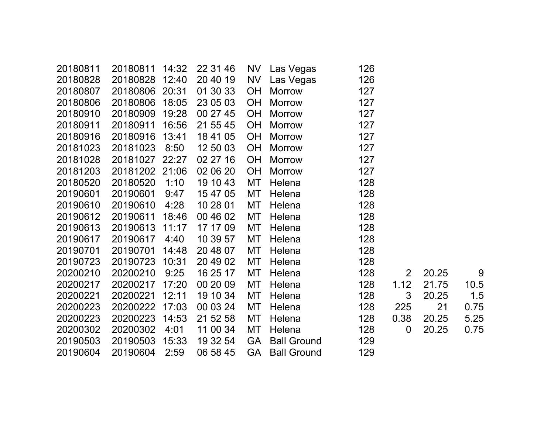| 20180811 | 20180811       | 14:32 | 22 31 46 | NV        | Las Vegas          | 126 |                |       |      |
|----------|----------------|-------|----------|-----------|--------------------|-----|----------------|-------|------|
| 20180828 | 20180828       | 12:40 | 20 40 19 | <b>NV</b> | Las Vegas          | 126 |                |       |      |
| 20180807 | 20180806 20:31 |       | 01 30 33 | <b>OH</b> | <b>Morrow</b>      | 127 |                |       |      |
| 20180806 | 20180806       | 18:05 | 23 05 03 | <b>OH</b> | <b>Morrow</b>      | 127 |                |       |      |
| 20180910 | 20180909       | 19:28 | 00 27 45 | <b>OH</b> | <b>Morrow</b>      | 127 |                |       |      |
| 20180911 | 20180911       | 16:56 | 21 55 45 | <b>OH</b> | <b>Morrow</b>      | 127 |                |       |      |
| 20180916 | 20180916       | 13:41 | 18 41 05 | <b>OH</b> | <b>Morrow</b>      | 127 |                |       |      |
| 20181023 | 20181023       | 8:50  | 12 50 03 | <b>OH</b> | <b>Morrow</b>      | 127 |                |       |      |
| 20181028 | 20181027       | 22:27 | 02 27 16 | <b>OH</b> | <b>Morrow</b>      | 127 |                |       |      |
| 20181203 | 20181202 21:06 |       | 02 06 20 | <b>OH</b> | <b>Morrow</b>      | 127 |                |       |      |
| 20180520 | 20180520       | 1:10  | 19 10 43 | MT        | Helena             | 128 |                |       |      |
| 20190601 | 20190601       | 9:47  | 15 47 05 | MT        | Helena             | 128 |                |       |      |
| 20190610 | 20190610       | 4:28  | 10 28 01 | MT        | Helena             | 128 |                |       |      |
| 20190612 | 20190611       | 18:46 | 00 46 02 | МT        | Helena             | 128 |                |       |      |
| 20190613 | 20190613       | 11:17 | 17 17 09 | <b>MT</b> | Helena             | 128 |                |       |      |
| 20190617 | 20190617       | 4:40  | 10 39 57 | <b>MT</b> | Helena             | 128 |                |       |      |
| 20190701 | 20190701       | 14:48 | 20 48 07 | MT        | Helena             | 128 |                |       |      |
| 20190723 | 20190723       | 10:31 | 20 49 02 | MT        | Helena             | 128 |                |       |      |
| 20200210 | 20200210       | 9:25  | 16 25 17 | МT        | Helena             | 128 | $\overline{2}$ | 20.25 | 9    |
| 20200217 | 20200217       | 17:20 | 00 20 09 | МT        | Helena             | 128 | 1.12           | 21.75 | 10.5 |
| 20200221 | 20200221       | 12:11 | 19 10 34 | МT        | Helena             | 128 | 3              | 20.25 | 1.5  |
| 20200223 | 20200222       | 17:03 | 00 03 24 | MT        | Helena             | 128 | 225            | 21    | 0.75 |
| 20200223 | 20200223       | 14:53 | 21 52 58 | MT        | Helena             | 128 | 0.38           | 20.25 | 5.25 |
| 20200302 | 20200302       | 4:01  | 11 00 34 | MT        | Helena             | 128 | $\mathbf 0$    | 20.25 | 0.75 |
| 20190503 | 20190503       | 15:33 | 19 32 54 | <b>GA</b> | <b>Ball Ground</b> | 129 |                |       |      |
| 20190604 | 20190604       | 2:59  | 06 58 45 | <b>GA</b> | <b>Ball Ground</b> | 129 |                |       |      |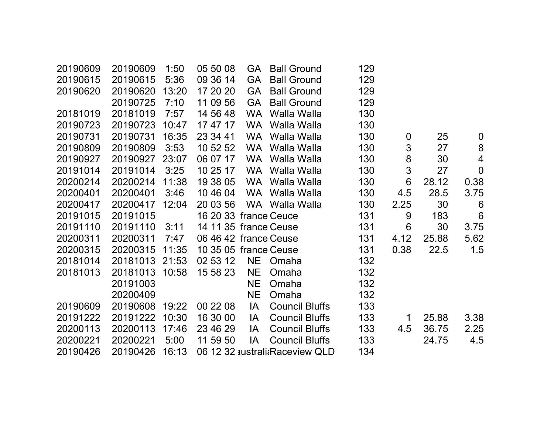| 20190609 | 20190609 | 1:50  | 05 50 08              | GA        | <b>Ball Ground</b>             | 129 |                 |       |                  |
|----------|----------|-------|-----------------------|-----------|--------------------------------|-----|-----------------|-------|------------------|
| 20190615 | 20190615 | 5:36  | 09 36 14              | <b>GA</b> | <b>Ball Ground</b>             | 129 |                 |       |                  |
| 20190620 | 20190620 | 13:20 | 17 20 20              | <b>GA</b> | <b>Ball Ground</b>             | 129 |                 |       |                  |
|          | 20190725 | 7:10  | 11 09 56              | <b>GA</b> | <b>Ball Ground</b>             | 129 |                 |       |                  |
| 20181019 | 20181019 | 7:57  | 14 56 48              | <b>WA</b> | Walla Walla                    | 130 |                 |       |                  |
| 20190723 | 20190723 | 10:47 | 17 47 17              | <b>WA</b> | Walla Walla                    | 130 |                 |       |                  |
| 20190731 | 20190731 | 16:35 | 23 34 41              | <b>WA</b> | Walla Walla                    | 130 | $\mathbf 0$     | 25    | $\mathbf 0$      |
| 20190809 | 20190809 | 3:53  | 10 52 52              | <b>WA</b> | Walla Walla                    | 130 | $\mathfrak{S}$  | 27    | $\boldsymbol{8}$ |
| 20190927 | 20190927 | 23:07 | 06 07 17              | <b>WA</b> | Walla Walla                    | 130 | 8               | 30    | $\overline{4}$   |
| 20191014 | 20191014 | 3:25  | 10 25 17              | <b>WA</b> | Walla Walla                    | 130 | $\mathfrak{S}$  | 27    | $\mathbf 0$      |
| 20200214 | 20200214 | 11:38 | 19 38 05              | <b>WA</b> | Walla Walla                    | 130 | 6               | 28.12 | 0.38             |
| 20200401 | 20200401 | 3:46  | 10 46 04              |           | WA Walla Walla                 | 130 | 4.5             | 28.5  | 3.75             |
| 20200417 | 20200417 | 12:04 | 20 03 56              |           | WA Walla Walla                 | 130 | 2.25            | 30    | 6                |
| 20191015 | 20191015 |       | 16 20 33 france Ceuce |           |                                | 131 | 9               | 183   | $6\phantom{1}6$  |
| 20191110 | 20191110 | 3:11  | 14 11 35 france Ceuse |           |                                | 131 | $6\phantom{1}6$ | 30    | 3.75             |
| 20200311 | 20200311 | 7:47  | 06 46 42 france Ceuse |           |                                | 131 | 4.12            | 25.88 | 5.62             |
| 20200315 | 20200315 | 11:35 | 10 35 05 france Ceuse |           |                                | 131 | 0.38            | 22.5  | 1.5              |
| 20181014 | 20181013 | 21:53 | 02 53 12              | <b>NE</b> | Omaha                          | 132 |                 |       |                  |
| 20181013 | 20181013 | 10:58 | 15 58 23              | <b>NE</b> | Omaha                          | 132 |                 |       |                  |
|          | 20191003 |       |                       | <b>NE</b> | Omaha                          | 132 |                 |       |                  |
|          | 20200409 |       |                       | <b>NE</b> | Omaha                          | 132 |                 |       |                  |
| 20190609 | 20190608 | 19:22 | 00 22 08              | IA        | <b>Council Bluffs</b>          | 133 |                 |       |                  |
| 20191222 | 20191222 | 10:30 | 16 30 00              | IA        | <b>Council Bluffs</b>          | 133 | $\mathbf 1$     | 25.88 | 3.38             |
| 20200113 | 20200113 | 17:46 | 23 46 29              | IA        | <b>Council Bluffs</b>          | 133 | 4.5             | 36.75 | 2.25             |
| 20200221 | 20200221 | 5:00  | 11 59 50              | IA        | <b>Council Bluffs</b>          | 133 |                 | 24.75 | 4.5              |
| 20190426 | 20190426 | 16:13 |                       |           | 06 12 32 australi Raceview QLD | 134 |                 |       |                  |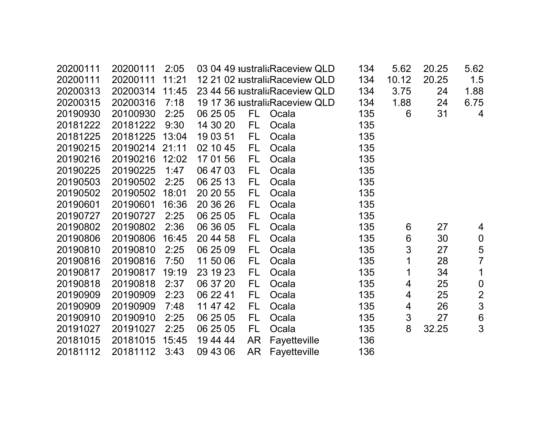| 20200111 | 20200111 | 2:05  |          |           | 03 04 49 australi Raceview QLD | 134 | 5.62            | 20.25 | 5.62             |
|----------|----------|-------|----------|-----------|--------------------------------|-----|-----------------|-------|------------------|
| 20200111 | 20200111 | 11:21 |          |           | 12 21 02 australiaRaceview QLD | 134 | 10.12           | 20.25 | 1.5              |
| 20200313 | 20200314 | 11:45 |          |           | 23 44 56 australi Raceview QLD | 134 | 3.75            | 24    | 1.88             |
| 20200315 | 20200316 | 7:18  |          |           | 19 17 36 australi Raceview QLD | 134 | 1.88            | 24    | 6.75             |
| 20190930 | 20100930 | 2:25  | 06 25 05 | FL.       | Ocala                          | 135 | 6               | 31    | $\overline{4}$   |
| 20181222 | 20181222 | 9:30  | 14 30 20 | FL.       | Ocala                          | 135 |                 |       |                  |
| 20181225 | 20181225 | 13:04 | 19 03 51 | FL.       | Ocala                          | 135 |                 |       |                  |
| 20190215 | 20190214 | 21:11 | 02 10 45 | FL.       | Ocala                          | 135 |                 |       |                  |
| 20190216 | 20190216 | 12:02 | 17 01 56 | FL.       | Ocala                          | 135 |                 |       |                  |
| 20190225 | 20190225 | 1:47  | 06 47 03 | FL        | Ocala                          | 135 |                 |       |                  |
| 20190503 | 20190502 | 2:25  | 06 25 13 | FL        | Ocala                          | 135 |                 |       |                  |
| 20190502 | 20190502 | 18:01 | 20 20 55 | FL.       | Ocala                          | 135 |                 |       |                  |
| 20190601 | 20190601 | 16:36 | 20 36 26 | <b>FL</b> | Ocala                          | 135 |                 |       |                  |
| 20190727 | 20190727 | 2:25  | 06 25 05 | FL.       | Ocala                          | 135 |                 |       |                  |
| 20190802 | 20190802 | 2:36  | 06 36 05 | FL.       | Ocala                          | 135 | 6               | 27    | 4                |
| 20190806 | 20190806 | 16:45 | 20 44 58 | FL        | Ocala                          | 135 | $6\phantom{1}6$ | 30    | $\boldsymbol{0}$ |
| 20190810 | 20190810 | 2:25  | 06 25 09 | FL        | Ocala                          | 135 | $\mathfrak{S}$  | 27    | 5                |
| 20190816 | 20190816 | 7:50  | 11 50 06 | <b>FL</b> | Ocala                          | 135 | 1               | 28    | $\overline{7}$   |
| 20190817 | 20190817 | 19:19 | 23 19 23 | <b>FL</b> | Ocala                          | 135 | 1               | 34    | $\mathbf 1$      |
| 20190818 | 20190818 | 2:37  | 06 37 20 | FL        | Ocala                          | 135 | 4               | 25    | $\boldsymbol{0}$ |
| 20190909 | 20190909 | 2:23  | 06 22 41 | FL.       | Ocala                          | 135 | 4               | 25    | $\overline{2}$   |
| 20190909 | 20190909 | 7:48  | 11 47 42 | FL        | Ocala                          | 135 | 4               | 26    | $\overline{3}$   |
| 20190910 | 20190910 | 2:25  | 06 25 05 | <b>FL</b> | Ocala                          | 135 | $\sqrt{3}$      | 27    | $\boldsymbol{6}$ |
| 20191027 | 20191027 | 2:25  | 06 25 05 | FL.       | Ocala                          | 135 | 8               | 32.25 | 3                |
| 20181015 | 20181015 | 15:45 | 19 44 44 | <b>AR</b> | Fayetteville                   | 136 |                 |       |                  |
| 20181112 | 20181112 | 3:43  | 09 43 06 | <b>AR</b> | Fayetteville                   | 136 |                 |       |                  |
|          |          |       |          |           |                                |     |                 |       |                  |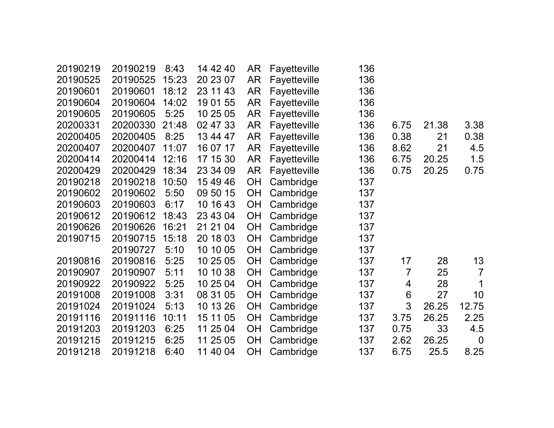| 20190219 | 20190219 | 8:43  | 14 42 40 | AR        | Fayetteville | 136 |                |       |                |
|----------|----------|-------|----------|-----------|--------------|-----|----------------|-------|----------------|
| 20190525 | 20190525 | 15:23 | 20 23 07 | <b>AR</b> | Fayetteville | 136 |                |       |                |
| 20190601 | 20190601 | 18:12 | 23 11 43 | AR        | Fayetteville | 136 |                |       |                |
| 20190604 | 20190604 | 14:02 | 19 01 55 | <b>AR</b> | Fayetteville | 136 |                |       |                |
| 20190605 | 20190605 | 5:25  | 10 25 05 | <b>AR</b> | Fayetteville | 136 |                |       |                |
| 20200331 | 20200330 | 21:48 | 02 47 33 | <b>AR</b> | Fayetteville | 136 | 6.75           | 21.38 | 3.38           |
| 20200405 | 20200405 | 8:25  | 13 44 47 | <b>AR</b> | Fayetteville | 136 | 0.38           | 21    | 0.38           |
| 20200407 | 20200407 | 11:07 | 16 07 17 | <b>AR</b> | Fayetteville | 136 | 8.62           | 21    | 4.5            |
| 20200414 | 20200414 | 12:16 | 17 15 30 | <b>AR</b> | Fayetteville | 136 | 6.75           | 20.25 | 1.5            |
| 20200429 | 20200429 | 18:34 | 23 34 09 | AR        | Fayetteville | 136 | 0.75           | 20.25 | 0.75           |
| 20190218 | 20190218 | 10:50 | 15 49 46 | <b>OH</b> | Cambridge    | 137 |                |       |                |
| 20190602 | 20190602 | 5:50  | 09 50 15 | <b>OH</b> | Cambridge    | 137 |                |       |                |
| 20190603 | 20190603 | 6:17  | 10 16 43 | <b>OH</b> | Cambridge    | 137 |                |       |                |
| 20190612 | 20190612 | 18:43 | 23 43 04 | <b>OH</b> | Cambridge    | 137 |                |       |                |
| 20190626 | 20190626 | 16:21 | 21 21 04 | <b>OH</b> | Cambridge    | 137 |                |       |                |
| 20190715 | 20190715 | 15:18 | 20 18 03 | <b>OH</b> | Cambridge    | 137 |                |       |                |
|          | 20190727 | 5:10  | 10 10 05 | OH        | Cambridge    | 137 |                |       |                |
| 20190816 | 20190816 | 5:25  | 10 25 05 | <b>OH</b> | Cambridge    | 137 | 17             | 28    | 13             |
| 20190907 | 20190907 | 5:11  | 10 10 38 | <b>OH</b> | Cambridge    | 137 | $\overline{7}$ | 25    | $\overline{7}$ |
| 20190922 | 20190922 | 5:25  | 10 25 04 | <b>OH</b> | Cambridge    | 137 | 4              | 28    | 1              |
| 20191008 | 20191008 | 3:31  | 08 31 05 | OH        | Cambridge    | 137 | 6              | 27    | 10             |
| 20191024 | 20191024 | 5:13  | 10 13 26 | OH        | Cambridge    | 137 | 3              | 26.25 | 12.75          |
| 20191116 | 20191116 | 10:11 | 15 11 05 | <b>OH</b> | Cambridge    | 137 | 3.75           | 26.25 | 2.25           |
| 20191203 | 20191203 | 6:25  | 11 25 04 | <b>OH</b> | Cambridge    | 137 | 0.75           | 33    | 4.5            |
| 20191215 | 20191215 | 6:25  | 11 25 05 | OH        | Cambridge    | 137 | 2.62           | 26.25 | $\overline{0}$ |
| 20191218 | 20191218 | 6:40  | 11 40 04 | <b>OH</b> | Cambridge    | 137 | 6.75           | 25.5  | 8.25           |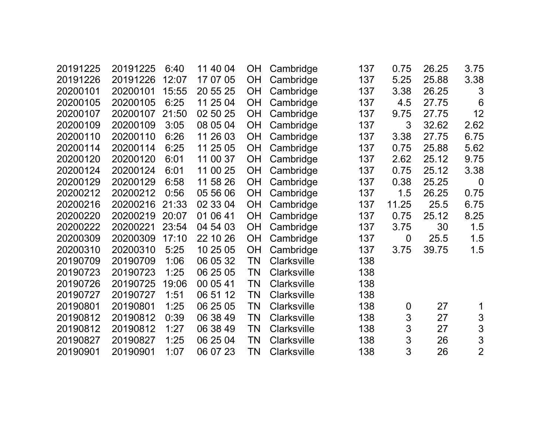| 20191225 | 20191225 | 6:40  | 11 40 04 | <b>OH</b> | Cambridge          | 137 | 0.75             | 26.25 | 3.75             |
|----------|----------|-------|----------|-----------|--------------------|-----|------------------|-------|------------------|
| 20191226 | 20191226 | 12:07 | 17 07 05 | <b>OH</b> | Cambridge          | 137 | 5.25             | 25.88 | 3.38             |
| 20200101 | 20200101 | 15:55 | 20 55 25 | <b>OH</b> | Cambridge          | 137 | 3.38             | 26.25 | 3                |
| 20200105 | 20200105 | 6:25  | 11 25 04 | <b>OH</b> | Cambridge          | 137 | 4.5              | 27.75 | 6                |
| 20200107 | 20200107 | 21:50 | 02 50 25 | OH        | Cambridge          | 137 | 9.75             | 27.75 | 12               |
| 20200109 | 20200109 | 3:05  | 08 05 04 | OH        | Cambridge          | 137 | 3                | 32.62 | 2.62             |
| 20200110 | 20200110 | 6:26  | 11 26 03 | <b>OH</b> | Cambridge          | 137 | 3.38             | 27.75 | 6.75             |
| 20200114 | 20200114 | 6:25  | 11 25 05 | OH        | Cambridge          | 137 | 0.75             | 25.88 | 5.62             |
| 20200120 | 20200120 | 6:01  | 11 00 37 | OH        | Cambridge          | 137 | 2.62             | 25.12 | 9.75             |
| 20200124 | 20200124 | 6:01  | 11 00 25 | <b>OH</b> | Cambridge          | 137 | 0.75             | 25.12 | 3.38             |
| 20200129 | 20200129 | 6:58  | 11 58 26 | <b>OH</b> | Cambridge          | 137 | 0.38             | 25.25 | $\boldsymbol{0}$ |
| 20200212 | 20200212 | 0:56  | 05 56 06 | <b>OH</b> | Cambridge          | 137 | 1.5              | 26.25 | 0.75             |
| 20200216 | 20200216 | 21:33 | 02 33 04 | <b>OH</b> | Cambridge          | 137 | 11.25            | 25.5  | 6.75             |
| 20200220 | 20200219 | 20:07 | 01 06 41 | OH        | Cambridge          | 137 | 0.75             | 25.12 | 8.25             |
| 20200222 | 20200221 | 23:54 | 04 54 03 | OH        | Cambridge          | 137 | 3.75             | 30    | 1.5              |
| 20200309 | 20200309 | 17:10 | 22 10 26 | OH        | Cambridge          | 137 | $\overline{0}$   | 25.5  | 1.5              |
| 20200310 | 20200310 | 5:25  | 10 25 05 | <b>OH</b> | Cambridge          | 137 | 3.75             | 39.75 | 1.5              |
| 20190709 | 20190709 | 1:06  | 06 05 32 | TN        | Clarksville        | 138 |                  |       |                  |
| 20190723 | 20190723 | 1:25  | 06 25 05 | ΤN        | Clarksville        | 138 |                  |       |                  |
| 20190726 | 20190725 | 19:06 | 00 05 41 | TN        | <b>Clarksville</b> | 138 |                  |       |                  |
| 20190727 | 20190727 | 1:51  | 06 51 12 | ΤN        | <b>Clarksville</b> | 138 |                  |       |                  |
| 20190801 | 20190801 | 1:25  | 06 25 05 | ΤN        | <b>Clarksville</b> | 138 | $\boldsymbol{0}$ | 27    | 1                |
| 20190812 | 20190812 | 0:39  | 06 38 49 | <b>TN</b> | <b>Clarksville</b> | 138 | $\mathfrak{S}$   | 27    | 3                |
| 20190812 | 20190812 | 1:27  | 06 38 49 | <b>TN</b> | <b>Clarksville</b> | 138 | 3                | 27    | 3                |
| 20190827 | 20190827 | 1:25  | 06 25 04 | <b>TN</b> | <b>Clarksville</b> | 138 | 3                | 26    | 3                |
| 20190901 | 20190901 | 1:07  | 06 07 23 | ΤN        | <b>Clarksville</b> | 138 | 3                | 26    | $\overline{2}$   |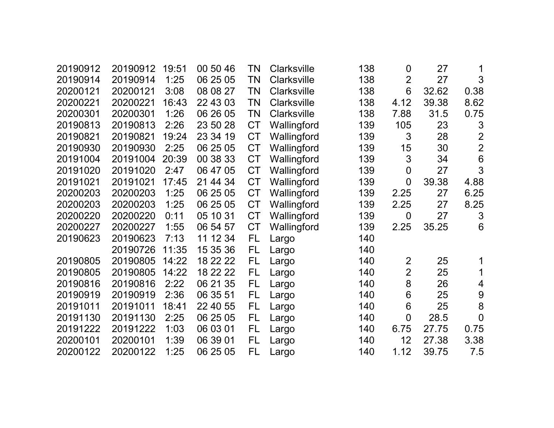| 20190912 | 20190912 | 19:51 | 00 50 46 | TN        | <b>Clarksville</b> | 138 | $\boldsymbol{0}$ | 27    | 1               |
|----------|----------|-------|----------|-----------|--------------------|-----|------------------|-------|-----------------|
| 20190914 | 20190914 | 1:25  | 06 25 05 | TN        | <b>Clarksville</b> | 138 | $\overline{2}$   | 27    | 3               |
| 20200121 | 20200121 | 3:08  | 08 08 27 | <b>TN</b> | Clarksville        | 138 | 6                | 32.62 | 0.38            |
| 20200221 | 20200221 | 16:43 | 22 43 03 | TN        | <b>Clarksville</b> | 138 | 4.12             | 39.38 | 8.62            |
| 20200301 | 20200301 | 1:26  | 06 26 05 | TN        | <b>Clarksville</b> | 138 | 7.88             | 31.5  | 0.75            |
| 20190813 | 20190813 | 2:26  | 23 50 28 | <b>CT</b> | Wallingford        | 139 | 105              | 23    | 3               |
| 20190821 | 20190821 | 19:24 | 23 34 19 | <b>CT</b> | Wallingford        | 139 | 3                | 28    | $\overline{2}$  |
| 20190930 | 20190930 | 2:25  | 06 25 05 | <b>CT</b> | Wallingford        | 139 | 15               | 30    | $\overline{2}$  |
| 20191004 | 20191004 | 20:39 | 00 38 33 | <b>CT</b> | Wallingford        | 139 | 3                | 34    | $6\phantom{1}6$ |
| 20191020 | 20191020 | 2:47  | 06 47 05 | <b>CT</b> | Wallingford        | 139 | $\boldsymbol{0}$ | 27    | 3               |
| 20191021 | 20191021 | 17:45 | 21 44 34 | <b>CT</b> | Wallingford        | 139 | $\overline{0}$   | 39.38 | 4.88            |
| 20200203 | 20200203 | 1:25  | 06 25 05 | <b>CT</b> | Wallingford        | 139 | 2.25             | 27    | 6.25            |
| 20200203 | 20200203 | 1:25  | 06 25 05 | <b>CT</b> | Wallingford        | 139 | 2.25             | 27    | 8.25            |
| 20200220 | 20200220 | 0:11  | 05 10 31 | <b>CT</b> | Wallingford        | 139 | $\overline{0}$   | 27    | 3               |
| 20200227 | 20200227 | 1:55  | 06 54 57 | <b>CT</b> | Wallingford        | 139 | 2.25             | 35.25 | 6               |
| 20190623 | 20190623 | 7:13  | 11 12 34 | <b>FL</b> | Largo              | 140 |                  |       |                 |
|          | 20190726 | 11:35 | 15 35 36 | <b>FL</b> | Largo              | 140 |                  |       |                 |
| 20190805 | 20190805 | 14:22 | 18 22 22 | FL        | Largo              | 140 | $\overline{2}$   | 25    |                 |
| 20190805 | 20190805 | 14:22 | 18 22 22 | FL        | Largo              | 140 | $\overline{2}$   | 25    | 1               |
| 20190816 | 20190816 | 2:22  | 06 21 35 | FL        | Largo              | 140 | 8                | 26    | 4               |
| 20190919 | 20190919 | 2:36  | 06 35 51 | FL        | Largo              | 140 | 6                | 25    | 9               |
| 20191011 | 20191011 | 18:41 | 22 40 55 | FL        | Largo              | 140 | 6                | 25    | 8               |
| 20191130 | 20191130 | 2:25  | 06 25 05 | FL        | Largo              | 140 | $\overline{0}$   | 28.5  | $\overline{0}$  |
| 20191222 | 20191222 | 1:03  | 06 03 01 | FL        | Largo              | 140 | 6.75             | 27.75 | 0.75            |
| 20200101 | 20200101 | 1:39  | 06 39 01 | <b>FL</b> | Largo              | 140 | 12               | 27.38 | 3.38            |
| 20200122 | 20200122 | 1:25  | 06 25 05 | FL        | Largo              | 140 | 1.12             | 39.75 | 7.5             |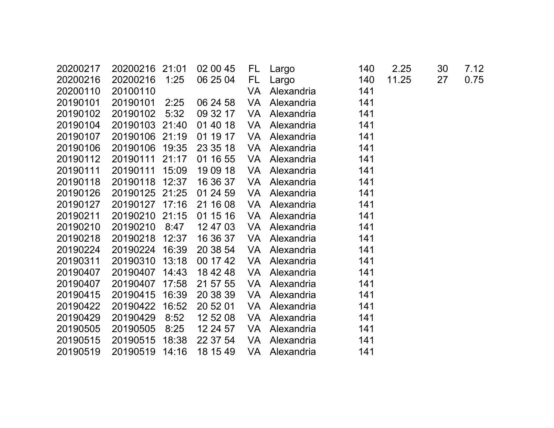| 20200217 | 20200216 | 21:01 | 02 00 45 | FL.       | Largo      | 140 | 2.25  | 30 | 7.12 |
|----------|----------|-------|----------|-----------|------------|-----|-------|----|------|
| 20200216 | 20200216 | 1:25  | 06 25 04 | FL.       | Largo      | 140 | 11.25 | 27 | 0.75 |
| 20200110 | 20100110 |       |          | VA        | Alexandria | 141 |       |    |      |
| 20190101 | 20190101 | 2:25  | 06 24 58 | VA        | Alexandria | 141 |       |    |      |
| 20190102 | 20190102 | 5:32  | 09 32 17 | VA        | Alexandria | 141 |       |    |      |
| 20190104 | 20190103 | 21:40 | 01 40 18 | <b>VA</b> | Alexandria | 141 |       |    |      |
| 20190107 | 20190106 | 21:19 | 01 19 17 | VA        | Alexandria | 141 |       |    |      |
| 20190106 | 20190106 | 19:35 | 23 35 18 | <b>VA</b> | Alexandria | 141 |       |    |      |
| 20190112 | 20190111 | 21:17 | 01 16 55 | <b>VA</b> | Alexandria | 141 |       |    |      |
| 20190111 | 20190111 | 15:09 | 19 09 18 | VA        | Alexandria | 141 |       |    |      |
| 20190118 | 20190118 | 12:37 | 16 36 37 | VA        | Alexandria | 141 |       |    |      |
| 20190126 | 20190125 | 21:25 | 01 24 59 | VA        | Alexandria | 141 |       |    |      |
| 20190127 | 20190127 | 17:16 | 21 16 08 | <b>VA</b> | Alexandria | 141 |       |    |      |
| 20190211 | 20190210 | 21:15 | 01 15 16 | <b>VA</b> | Alexandria | 141 |       |    |      |
| 20190210 | 20190210 | 8:47  | 12 47 03 | <b>VA</b> | Alexandria | 141 |       |    |      |
| 20190218 | 20190218 | 12:37 | 16 36 37 | <b>VA</b> | Alexandria | 141 |       |    |      |
| 20190224 | 20190224 | 16:39 | 20 38 54 | <b>VA</b> | Alexandria | 141 |       |    |      |
| 20190311 | 20190310 | 13:18 | 00 17 42 | VA        | Alexandria | 141 |       |    |      |
| 20190407 | 20190407 | 14:43 | 18 42 48 | VA        | Alexandria | 141 |       |    |      |
| 20190407 | 20190407 | 17:58 | 21 57 55 | <b>VA</b> | Alexandria | 141 |       |    |      |
| 20190415 | 20190415 | 16:39 | 20 38 39 | VA        | Alexandria | 141 |       |    |      |
| 20190422 | 20190422 | 16:52 | 20 52 01 | <b>VA</b> | Alexandria | 141 |       |    |      |
| 20190429 | 20190429 | 8:52  | 12 52 08 | VA        | Alexandria | 141 |       |    |      |
| 20190505 | 20190505 | 8:25  | 12 24 57 | <b>VA</b> | Alexandria | 141 |       |    |      |
| 20190515 | 20190515 | 18:38 | 22 37 54 | VA        | Alexandria | 141 |       |    |      |
| 20190519 | 20190519 | 14:16 | 18 15 49 | VA        | Alexandria | 141 |       |    |      |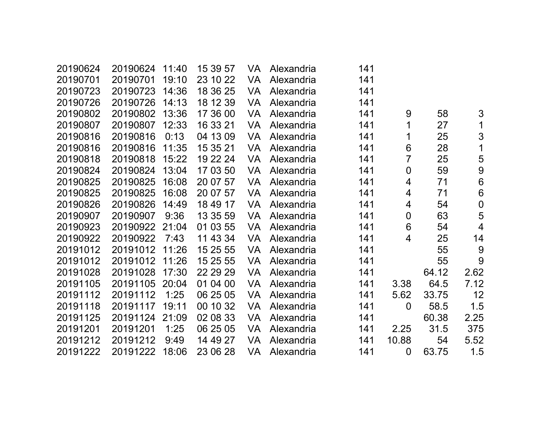| 20190624 | 20190624 | 11:40 | 15 39 57 | VA        | Alexandria | 141 |                  |       |                 |
|----------|----------|-------|----------|-----------|------------|-----|------------------|-------|-----------------|
| 20190701 | 20190701 | 19:10 | 23 10 22 | VA        | Alexandria | 141 |                  |       |                 |
| 20190723 | 20190723 | 14:36 | 18 36 25 | VA        | Alexandria | 141 |                  |       |                 |
| 20190726 | 20190726 | 14:13 | 18 12 39 | VA        | Alexandria | 141 |                  |       |                 |
| 20190802 | 20190802 | 13:36 | 17 36 00 | VA        | Alexandria | 141 | 9                | 58    | 3               |
| 20190807 | 20190807 | 12:33 | 16 33 21 | VA        | Alexandria | 141 | 1                | 27    | 1               |
| 20190816 | 20190816 | 0:13  | 04 13 09 | VA        | Alexandria | 141 | 1                | 25    | 3               |
| 20190816 | 20190816 | 11:35 | 15 35 21 | VA        | Alexandria | 141 | 6                | 28    | 1               |
| 20190818 | 20190818 | 15:22 | 19 22 24 | VA        | Alexandria | 141 | 7                | 25    | 5               |
| 20190824 | 20190824 | 13:04 | 17 03 50 | VA        | Alexandria | 141 | $\boldsymbol{0}$ | 59    | $9$             |
| 20190825 | 20190825 | 16:08 | 20 07 57 | VA        | Alexandria | 141 | 4                | 71    | 6               |
| 20190825 | 20190825 | 16:08 | 20 07 57 | VA        | Alexandria | 141 | 4                | 71    | $6\phantom{1}6$ |
| 20190826 | 20190826 | 14:49 | 18 49 17 | VA        | Alexandria | 141 | 4                | 54    | $\mathbf 0$     |
| 20190907 | 20190907 | 9:36  | 13 35 59 | VA        | Alexandria | 141 | $\overline{0}$   | 63    | 5               |
| 20190923 | 20190922 | 21:04 | 01 03 55 | VA        | Alexandria | 141 | 6                | 54    | $\overline{4}$  |
| 20190922 | 20190922 | 7:43  | 11 43 34 | VA        | Alexandria | 141 | 4                | 25    | 14              |
| 20191012 | 20191012 | 11:26 | 15 25 55 | VA        | Alexandria | 141 |                  | 55    | 9               |
| 20191012 | 20191012 | 11:26 | 15 25 55 | <b>VA</b> | Alexandria | 141 |                  | 55    | 9               |
| 20191028 | 20191028 | 17:30 | 22 29 29 | VA        | Alexandria | 141 |                  | 64.12 | 2.62            |
| 20191105 | 20191105 | 20:04 | 01 04 00 | VA        | Alexandria | 141 | 3.38             | 64.5  | 7.12            |
| 20191112 | 20191112 | 1:25  | 06 25 05 | VA        | Alexandria | 141 | 5.62             | 33.75 | 12              |
| 20191118 | 20191117 | 19:11 | 00 10 32 | VA        | Alexandria | 141 | $\overline{0}$   | 58.5  | 1.5             |
| 20191125 | 20191124 | 21:09 | 02 08 33 | VA        | Alexandria | 141 |                  | 60.38 | 2.25            |
| 20191201 | 20191201 | 1:25  | 06 25 05 | VA        | Alexandria | 141 | 2.25             | 31.5  | 375             |
| 20191212 | 20191212 | 9:49  | 14 49 27 | VA        | Alexandria | 141 | 10.88            | 54    | 5.52            |
| 20191222 | 20191222 | 18:06 | 23 06 28 | VA        | Alexandria | 141 | $\overline{0}$   | 63.75 | 1.5             |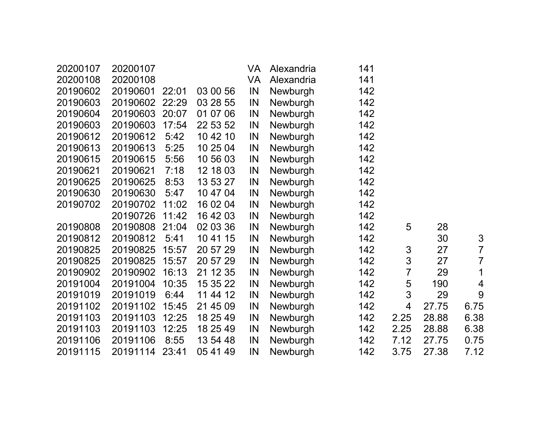| 20200107 | 20200107 |       |          | VA | Alexandria | 141 |                |       |                |
|----------|----------|-------|----------|----|------------|-----|----------------|-------|----------------|
| 20200108 | 20200108 |       |          | VA | Alexandria | 141 |                |       |                |
| 20190602 | 20190601 | 22:01 | 03 00 56 | IN | Newburgh   | 142 |                |       |                |
| 20190603 | 20190602 | 22:29 | 03 28 55 | IN | Newburgh   | 142 |                |       |                |
| 20190604 | 20190603 | 20:07 | 01 07 06 | IN | Newburgh   | 142 |                |       |                |
| 20190603 | 20190603 | 17:54 | 22 53 52 | IN | Newburgh   | 142 |                |       |                |
| 20190612 | 20190612 | 5:42  | 10 42 10 | IN | Newburgh   | 142 |                |       |                |
| 20190613 | 20190613 | 5:25  | 10 25 04 | IN | Newburgh   | 142 |                |       |                |
| 20190615 | 20190615 | 5:56  | 10 56 03 | IN | Newburgh   | 142 |                |       |                |
| 20190621 | 20190621 | 7:18  | 12 18 03 | IN | Newburgh   | 142 |                |       |                |
| 20190625 | 20190625 | 8:53  | 13 53 27 | IN | Newburgh   | 142 |                |       |                |
| 20190630 | 20190630 | 5:47  | 10 47 04 | IN | Newburgh   | 142 |                |       |                |
| 20190702 | 20190702 | 11:02 | 16 02 04 | IN | Newburgh   | 142 |                |       |                |
|          | 20190726 | 11:42 | 16 42 03 | IN | Newburgh   | 142 |                |       |                |
| 20190808 | 20190808 | 21:04 | 02 03 36 | IN | Newburgh   | 142 | 5              | 28    |                |
| 20190812 | 20190812 | 5:41  | 10 41 15 | IN | Newburgh   | 142 |                | 30    | 3              |
| 20190825 | 20190825 | 15:57 | 20 57 29 | IN | Newburgh   | 142 | 3              | 27    | $\overline{7}$ |
| 20190825 | 20190825 | 15:57 | 20 57 29 | IN | Newburgh   | 142 | $\mathfrak{S}$ | 27    | $\overline{7}$ |
| 20190902 | 20190902 | 16:13 | 21 12 35 | IN | Newburgh   | 142 | $\overline{7}$ | 29    | 1              |
| 20191004 | 20191004 | 10:35 | 15 35 22 | IN | Newburgh   | 142 | 5              | 190   | 4              |
| 20191019 | 20191019 | 6:44  | 11 44 12 | IN | Newburgh   | 142 | 3              | 29    | 9              |
| 20191102 | 20191102 | 15:45 | 21 45 09 | IN | Newburgh   | 142 | 4              | 27.75 | 6.75           |
| 20191103 | 20191103 | 12:25 | 18 25 49 | IN | Newburgh   | 142 | 2.25           | 28.88 | 6.38           |
| 20191103 | 20191103 | 12:25 | 18 25 49 | IN | Newburgh   | 142 | 2.25           | 28.88 | 6.38           |
| 20191106 | 20191106 | 8:55  | 13 54 48 | IN | Newburgh   | 142 | 7.12           | 27.75 | 0.75           |
| 20191115 | 20191114 | 23:41 | 05 41 49 | IN | Newburgh   | 142 | 3.75           | 27.38 | 7.12           |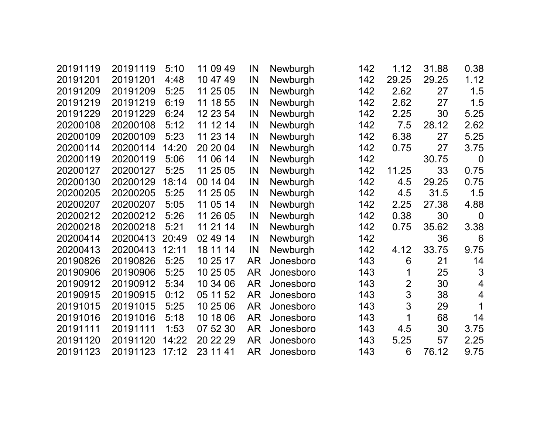| 20191119 | 20191119 | 5:10  | 11 09 49    | IN        | Newburgh  | 142 | 1.12           | 31.88 | 0.38             |
|----------|----------|-------|-------------|-----------|-----------|-----|----------------|-------|------------------|
| 20191201 | 20191201 | 4:48  | 10 47 49    | IN        | Newburgh  | 142 | 29.25          | 29.25 | 1.12             |
| 20191209 | 20191209 | 5:25  | 11 25 05    | IN        | Newburgh  | 142 | 2.62           | 27    | 1.5              |
| 20191219 | 20191219 | 6:19  | 11 18 55    | IN        | Newburgh  | 142 | 2.62           | 27    | 1.5              |
| 20191229 | 20191229 | 6:24  | 12 23 54    | IN        | Newburgh  | 142 | 2.25           | 30    | 5.25             |
| 20200108 | 20200108 | 5:12  | 11 12 14    | IN        | Newburgh  | 142 | 7.5            | 28.12 | 2.62             |
| 20200109 | 20200109 | 5:23  | 11 23 14    | IN        | Newburgh  | 142 | 6.38           | 27    | 5.25             |
| 20200114 | 20200114 | 14:20 | 20 20 04    | IN        | Newburgh  | 142 | 0.75           | 27    | 3.75             |
| 20200119 | 20200119 | 5:06  | 11 06 14    | IN        | Newburgh  | 142 |                | 30.75 | $\boldsymbol{0}$ |
| 20200127 | 20200127 | 5:25  | 11 25 05    | IN        | Newburgh  | 142 | 11.25          | 33    | 0.75             |
| 20200130 | 20200129 | 18:14 | 00 14 04    | IN        | Newburgh  | 142 | 4.5            | 29.25 | 0.75             |
| 20200205 | 20200205 | 5:25  | 11 25 05    | IN        | Newburgh  | 142 | 4.5            | 31.5  | 1.5              |
| 20200207 | 20200207 | 5:05  | 11 05 14    | IN        | Newburgh  | 142 | 2.25           | 27.38 | 4.88             |
| 20200212 | 20200212 | 5:26  | 26 05<br>11 | IN        | Newburgh  | 142 | 0.38           | 30    | $\Omega$         |
| 20200218 | 20200218 | 5:21  | 21 14<br>11 | IN        | Newburgh  | 142 | 0.75           | 35.62 | 3.38             |
| 20200414 | 20200413 | 20:49 | 02 49 14    | IN        | Newburgh  | 142 |                | 36    | 6                |
| 20200413 | 20200413 | 12:11 | 18 11 14    | IN        | Newburgh  | 142 | 4.12           | 33.75 | 9.75             |
| 20190826 | 20190826 | 5:25  | 10 25 17    | <b>AR</b> | Jonesboro | 143 | 6              | 21    | 14               |
| 20190906 | 20190906 | 5:25  | 10 25 05    | AR        | Jonesboro | 143 | 1              | 25    | 3                |
| 20190912 | 20190912 | 5:34  | 10 34 06    | <b>AR</b> | Jonesboro | 143 | $\overline{2}$ | 30    | $\overline{4}$   |
| 20190915 | 20190915 | 0:12  | 05 11 52    | <b>AR</b> | Jonesboro | 143 | 3              | 38    | $\overline{4}$   |
| 20191015 | 20191015 | 5:25  | 10 25 06    | <b>AR</b> | Jonesboro | 143 | 3              | 29    | 1                |
| 20191016 | 20191016 | 5:18  | 10 18 06    | <b>AR</b> | Jonesboro | 143 | 1              | 68    | 14               |
| 20191111 | 20191111 | 1:53  | 07 52 30    | <b>AR</b> | Jonesboro | 143 | 4.5            | 30    | 3.75             |
| 20191120 | 20191120 | 14:22 | 20 22 29    | <b>AR</b> | Jonesboro | 143 | 5.25           | 57    | 2.25             |
| 20191123 | 20191123 | 17:12 | 23 11 41    | AR        | Jonesboro | 143 | 6              | 76.12 | 9.75             |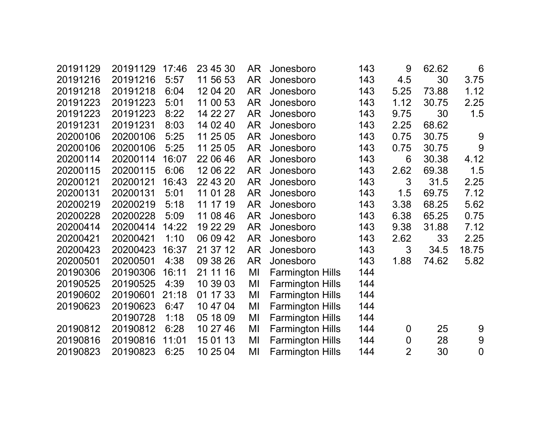| 20191129 | 20191129 | 17:46 | 23 45 30 | AR        | Jonesboro               | 143 | 9                | 62.62 | 6           |
|----------|----------|-------|----------|-----------|-------------------------|-----|------------------|-------|-------------|
| 20191216 | 20191216 | 5:57  | 11 56 53 | <b>AR</b> | Jonesboro               | 143 | 4.5              | 30    | 3.75        |
| 20191218 | 20191218 | 6:04  | 12 04 20 | <b>AR</b> | Jonesboro               | 143 | 5.25             | 73.88 | 1.12        |
| 20191223 | 20191223 | 5:01  | 11 00 53 | <b>AR</b> | Jonesboro               | 143 | 1.12             | 30.75 | 2.25        |
| 20191223 | 20191223 | 8:22  | 14 22 27 | <b>AR</b> | Jonesboro               | 143 | 9.75             | 30    | 1.5         |
| 20191231 | 20191231 | 8:03  | 14 02 40 | <b>AR</b> | Jonesboro               | 143 | 2.25             | 68.62 |             |
| 20200106 | 20200106 | 5:25  | 11 25 05 | <b>AR</b> | Jonesboro               | 143 | 0.75             | 30.75 | 9           |
| 20200106 | 20200106 | 5:25  | 11 25 05 | <b>AR</b> | Jonesboro               | 143 | 0.75             | 30.75 | 9           |
| 20200114 | 20200114 | 16:07 | 22 06 46 | <b>AR</b> | Jonesboro               | 143 | 6                | 30.38 | 4.12        |
| 20200115 | 20200115 | 6:06  | 12 06 22 | <b>AR</b> | Jonesboro               | 143 | 2.62             | 69.38 | 1.5         |
| 20200121 | 20200121 | 16:43 | 22 43 20 | <b>AR</b> | Jonesboro               | 143 | 3                | 31.5  | 2.25        |
| 20200131 | 20200131 | 5:01  | 11 01 28 | <b>AR</b> | Jonesboro               | 143 | 1.5              | 69.75 | 7.12        |
| 20200219 | 20200219 | 5:18  | 11 17 19 | <b>AR</b> | Jonesboro               | 143 | 3.38             | 68.25 | 5.62        |
| 20200228 | 20200228 | 5:09  | 11 08 46 | <b>AR</b> | Jonesboro               | 143 | 6.38             | 65.25 | 0.75        |
| 20200414 | 20200414 | 14:22 | 19 22 29 | <b>AR</b> | Jonesboro               | 143 | 9.38             | 31.88 | 7.12        |
| 20200421 | 20200421 | 1:10  | 06 09 42 | <b>AR</b> | Jonesboro               | 143 | 2.62             | 33    | 2.25        |
| 20200423 | 20200423 | 16:37 | 21 37 12 | <b>AR</b> | Jonesboro               | 143 | 3                | 34.5  | 18.75       |
| 20200501 | 20200501 | 4:38  | 09 38 26 | <b>AR</b> | Jonesboro               | 143 | 1.88             | 74.62 | 5.82        |
| 20190306 | 20190306 | 16:11 | 21 11 16 | MI        | <b>Farmington Hills</b> | 144 |                  |       |             |
| 20190525 | 20190525 | 4:39  | 10 39 03 | MI        | <b>Farmington Hills</b> | 144 |                  |       |             |
| 20190602 | 20190601 | 21:18 | 01 17 33 | MI        | <b>Farmington Hills</b> | 144 |                  |       |             |
| 20190623 | 20190623 | 6:47  | 10 47 04 | MI        | <b>Farmington Hills</b> | 144 |                  |       |             |
|          | 20190728 | 1:18  | 05 18 09 | MI        | <b>Farmington Hills</b> | 144 |                  |       |             |
| 20190812 | 20190812 | 6:28  | 10 27 46 | MI        | <b>Farmington Hills</b> | 144 | 0                | 25    | 9           |
| 20190816 | 20190816 | 11:01 | 15 01 13 | MI        | <b>Farmington Hills</b> | 144 | $\boldsymbol{0}$ | 28    | $9$         |
| 20190823 | 20190823 | 6:25  | 10 25 04 | MI        | <b>Farmington Hills</b> | 144 | $\overline{2}$   | 30    | $\mathbf 0$ |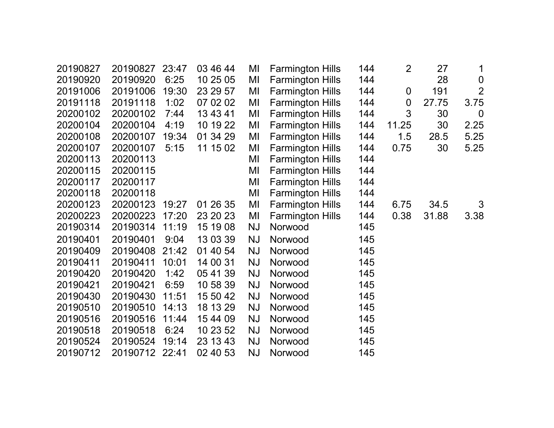| 20190827 | 20190827 | 23:47 | 03 46 44 | MI        | <b>Farmington Hills</b> | 144 | $\overline{2}$   | 27    | 1                |
|----------|----------|-------|----------|-----------|-------------------------|-----|------------------|-------|------------------|
| 20190920 | 20190920 | 6:25  | 10 25 05 | MI        | <b>Farmington Hills</b> | 144 |                  | 28    | $\boldsymbol{0}$ |
| 20191006 | 20191006 | 19:30 | 23 29 57 | MI        | <b>Farmington Hills</b> | 144 | $\mathbf 0$      | 191   | $\overline{2}$   |
| 20191118 | 20191118 | 1:02  | 07 02 02 | MI        | <b>Farmington Hills</b> | 144 | $\boldsymbol{0}$ | 27.75 | 3.75             |
| 20200102 | 20200102 | 7:44  | 13 43 41 | MI        | <b>Farmington Hills</b> | 144 | 3                | 30    | $\overline{0}$   |
| 20200104 | 20200104 | 4:19  | 10 19 22 | MI        | <b>Farmington Hills</b> | 144 | 11.25            | 30    | 2.25             |
| 20200108 | 20200107 | 19:34 | 01 34 29 | MI        | <b>Farmington Hills</b> | 144 | 1.5              | 28.5  | 5.25             |
| 20200107 | 20200107 | 5:15  | 11 15 02 | MI        | <b>Farmington Hills</b> | 144 | 0.75             | 30    | 5.25             |
| 20200113 | 20200113 |       |          | MI        | <b>Farmington Hills</b> | 144 |                  |       |                  |
| 20200115 | 20200115 |       |          | MI        | <b>Farmington Hills</b> | 144 |                  |       |                  |
| 20200117 | 20200117 |       |          | MI        | <b>Farmington Hills</b> | 144 |                  |       |                  |
| 20200118 | 20200118 |       |          | MI        | <b>Farmington Hills</b> | 144 |                  |       |                  |
| 20200123 | 20200123 | 19:27 | 01 26 35 | MI        | <b>Farmington Hills</b> | 144 | 6.75             | 34.5  | 3                |
| 20200223 | 20200223 | 17:20 | 23 20 23 | MI        | <b>Farmington Hills</b> | 144 | 0.38             | 31.88 | 3.38             |
| 20190314 | 20190314 | 11:19 | 15 19 08 | <b>NJ</b> | Norwood                 | 145 |                  |       |                  |
| 20190401 | 20190401 | 9:04  | 13 03 39 | <b>NJ</b> | Norwood                 | 145 |                  |       |                  |
| 20190409 | 20190408 | 21:42 | 01 40 54 | <b>NJ</b> | Norwood                 | 145 |                  |       |                  |
| 20190411 | 20190411 | 10:01 | 14 00 31 | <b>NJ</b> | Norwood                 | 145 |                  |       |                  |
| 20190420 | 20190420 | 1:42  | 05 41 39 | <b>NJ</b> | Norwood                 | 145 |                  |       |                  |
| 20190421 | 20190421 | 6:59  | 10 58 39 | <b>NJ</b> | Norwood                 | 145 |                  |       |                  |
| 20190430 | 20190430 | 11:51 | 15 50 42 | <b>NJ</b> | Norwood                 | 145 |                  |       |                  |
| 20190510 | 20190510 | 14:13 | 18 13 29 | <b>NJ</b> | Norwood                 | 145 |                  |       |                  |
| 20190516 | 20190516 | 11:44 | 15 44 09 | <b>NJ</b> | Norwood                 | 145 |                  |       |                  |
| 20190518 | 20190518 | 6:24  | 10 23 52 | <b>NJ</b> | Norwood                 | 145 |                  |       |                  |
| 20190524 | 20190524 | 19:14 | 23 13 43 | <b>NJ</b> | Norwood                 | 145 |                  |       |                  |
| 20190712 | 20190712 | 22:41 | 02 40 53 | <b>NJ</b> | Norwood                 | 145 |                  |       |                  |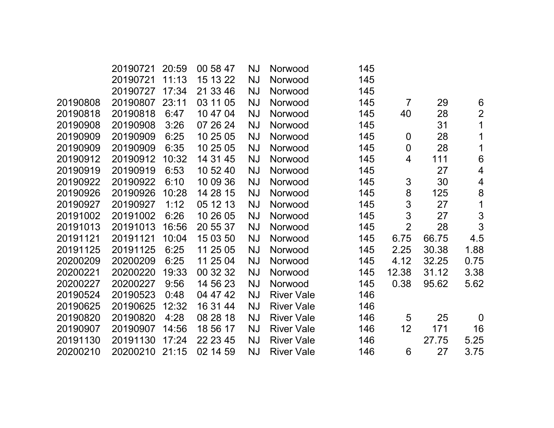|          | 20190721 | 20:59 | 00 58 47 | NJ        | Norwood           | 145 |                  |       |                          |
|----------|----------|-------|----------|-----------|-------------------|-----|------------------|-------|--------------------------|
|          | 20190721 | 11:13 | 15 13 22 | <b>NJ</b> | Norwood           | 145 |                  |       |                          |
|          | 20190727 | 17:34 | 21 33 46 | <b>NJ</b> | Norwood           | 145 |                  |       |                          |
| 20190808 | 20190807 | 23:11 | 03 11 05 | <b>NJ</b> | Norwood           | 145 | $\overline{7}$   | 29    | $6\phantom{1}$           |
| 20190818 | 20190818 | 6:47  | 10 47 04 | <b>NJ</b> | Norwood           | 145 | 40               | 28    | $\overline{2}$           |
| 20190908 | 20190908 | 3:26  | 07 26 24 | <b>NJ</b> | Norwood           | 145 |                  | 31    | 1                        |
| 20190909 | 20190909 | 6:25  | 10 25 05 | <b>NJ</b> | Norwood           | 145 | $\overline{0}$   | 28    | 1                        |
| 20190909 | 20190909 | 6:35  | 10 25 05 | <b>NJ</b> | Norwood           | 145 | $\boldsymbol{0}$ | 28    | 1                        |
| 20190912 | 20190912 | 10:32 | 14 31 45 | <b>NJ</b> | Norwood           | 145 | 4                | 111   | $6\phantom{1}$           |
| 20190919 | 20190919 | 6:53  | 10 52 40 | <b>NJ</b> | Norwood           | 145 |                  | 27    | $\overline{\mathcal{A}}$ |
| 20190922 | 20190922 | 6:10  | 10 09 36 | <b>NJ</b> | Norwood           | 145 | 3                | 30    | $\overline{\mathcal{A}}$ |
| 20190926 | 20190926 | 10:28 | 14 28 15 | <b>NJ</b> | Norwood           | 145 | 8                | 125   | $\bf 8$                  |
| 20190927 | 20190927 | 1:12  | 05 12 13 | <b>NJ</b> | Norwood           | 145 | 3                | 27    | 1                        |
| 20191002 | 20191002 | 6:26  | 10 26 05 | <b>NJ</b> | Norwood           | 145 | 3                | 27    | 3                        |
| 20191013 | 20191013 | 16:56 | 20 55 37 | <b>NJ</b> | Norwood           | 145 | $\overline{2}$   | 28    | 3                        |
| 20191121 | 20191121 | 10:04 | 15 03 50 | <b>NJ</b> | Norwood           | 145 | 6.75             | 66.75 | 4.5                      |
| 20191125 | 20191125 | 6:25  | 11 25 05 | <b>NJ</b> | Norwood           | 145 | 2.25             | 30.38 | 1.88                     |
| 20200209 | 20200209 | 6:25  | 11 25 04 | <b>NJ</b> | Norwood           | 145 | 4.12             | 32.25 | 0.75                     |
| 20200221 | 20200220 | 19:33 | 00 32 32 | <b>NJ</b> | Norwood           | 145 | 12.38            | 31.12 | 3.38                     |
| 20200227 | 20200227 | 9:56  | 14 56 23 | <b>NJ</b> | Norwood           | 145 | 0.38             | 95.62 | 5.62                     |
| 20190524 | 20190523 | 0:48  | 04 47 42 | <b>NJ</b> | <b>River Vale</b> | 146 |                  |       |                          |
| 20190625 | 20190625 | 12:32 | 16 31 44 | <b>NJ</b> | <b>River Vale</b> | 146 |                  |       |                          |
| 20190820 | 20190820 | 4:28  | 08 28 18 | <b>NJ</b> | <b>River Vale</b> | 146 | 5                | 25    | $\overline{0}$           |
| 20190907 | 20190907 | 14:56 | 18 56 17 | <b>NJ</b> | <b>River Vale</b> | 146 | 12               | 171   | 16                       |
| 20191130 | 20191130 | 17:24 | 22 23 45 | <b>NJ</b> | <b>River Vale</b> | 146 |                  | 27.75 | 5.25                     |
| 20200210 | 20200210 | 21:15 | 02 14 59 | <b>NJ</b> | <b>River Vale</b> | 146 | 6                | 27    | 3.75                     |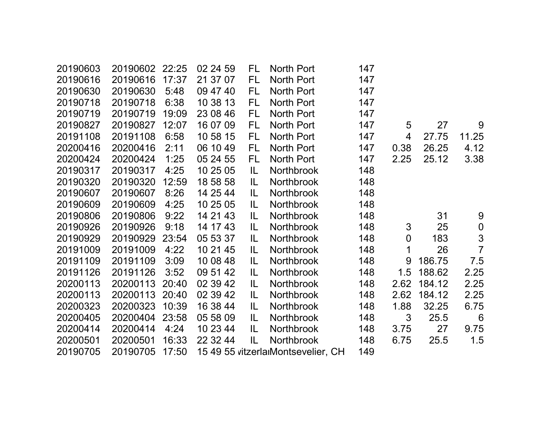| 20190603 | 20190602 | 22:25 | 02 24 59 | FL  | North Port                         | 147 |             |        |                  |
|----------|----------|-------|----------|-----|------------------------------------|-----|-------------|--------|------------------|
| 20190616 | 20190616 | 17:37 | 21 37 07 | FL. | North Port                         | 147 |             |        |                  |
| 20190630 | 20190630 | 5:48  | 09 47 40 | FL  | North Port                         | 147 |             |        |                  |
| 20190718 | 20190718 | 6:38  | 10 38 13 | FL  | North Port                         | 147 |             |        |                  |
| 20190719 | 20190719 | 19:09 | 23 08 46 | FL  | North Port                         | 147 |             |        |                  |
| 20190827 | 20190827 | 12:07 | 16 07 09 | FL  | North Port                         | 147 | 5           | 27     | 9                |
| 20191108 | 20191108 | 6:58  | 10 58 15 | FL  | North Port                         | 147 | 4           | 27.75  | 11.25            |
| 20200416 | 20200416 | 2:11  | 06 10 49 | FL  | North Port                         | 147 | 0.38        | 26.25  | 4.12             |
| 20200424 | 20200424 | 1:25  | 05 24 55 | FL  | North Port                         | 147 | 2.25        | 25.12  | 3.38             |
| 20190317 | 20190317 | 4:25  | 10 25 05 | IL  | <b>Northbrook</b>                  | 148 |             |        |                  |
| 20190320 | 20190320 | 12:59 | 18 58 58 | IL  | <b>Northbrook</b>                  | 148 |             |        |                  |
| 20190607 | 20190607 | 8:26  | 14 25 44 | IL. | <b>Northbrook</b>                  | 148 |             |        |                  |
| 20190609 | 20190609 | 4:25  | 10 25 05 | IL. | <b>Northbrook</b>                  | 148 |             |        |                  |
| 20190806 | 20190806 | 9:22  | 14 21 43 | IL  | <b>Northbrook</b>                  | 148 |             | 31     | 9                |
| 20190926 | 20190926 | 9:18  | 14 17 43 | IL  | <b>Northbrook</b>                  | 148 | 3           | 25     | $\boldsymbol{0}$ |
| 20190929 | 20190929 | 23:54 | 05 53 37 | IL  | <b>Northbrook</b>                  | 148 | $\mathbf 0$ | 183    | 3                |
| 20191009 | 20191009 | 4:22  | 10 21 45 | IL. | <b>Northbrook</b>                  | 148 | 1           | 26     | $\overline{7}$   |
| 20191109 | 20191109 | 3:09  | 10 08 48 | IL. | <b>Northbrook</b>                  | 148 | 9           | 186.75 | 7.5              |
| 20191126 | 20191126 | 3:52  | 09 51 42 | IL  | <b>Northbrook</b>                  | 148 | 1.5         | 188.62 | 2.25             |
| 20200113 | 20200113 | 20:40 | 02 39 42 | IL  | <b>Northbrook</b>                  | 148 | 2.62        | 184.12 | 2.25             |
| 20200113 | 20200113 | 20:40 | 02 39 42 | IL  | <b>Northbrook</b>                  | 148 | 2.62        | 184.12 | 2.25             |
| 20200323 | 20200323 | 10:39 | 16 38 44 | IL  | Northbrook                         | 148 | 1.88        | 32.25  | 6.75             |
| 20200405 | 20200404 | 23:58 | 05 58 09 | IL  | <b>Northbrook</b>                  | 148 | 3           | 25.5   | $6\phantom{1}6$  |
| 20200414 | 20200414 | 4:24  | 10 23 44 | IL  | Northbrook                         | 148 | 3.75        | 27     | 9.75             |
| 20200501 | 20200501 | 16:33 | 22 32 44 | IL  | <b>Northbrook</b>                  | 148 | 6.75        | 25.5   | 1.5              |
| 20190705 | 20190705 | 17:50 |          |     | 15 49 55 vitzerlarMontsevelier, CH | 149 |             |        |                  |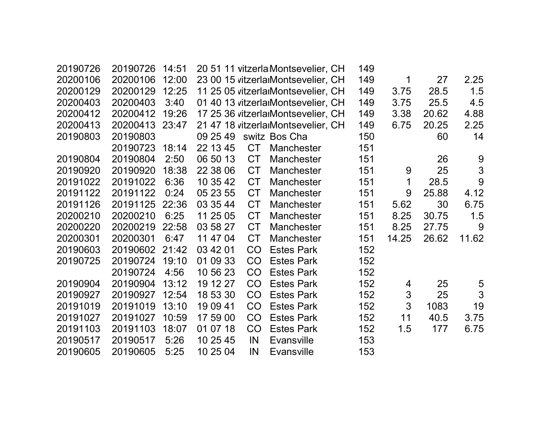| 20190726 | 20190726 | 14:51 |          |           | 20 51 11 vitzerla Montsevelier, CH | 149 |             |       |                |
|----------|----------|-------|----------|-----------|------------------------------------|-----|-------------|-------|----------------|
| 20200106 | 20200106 | 12:00 |          |           | 23 00 15 vitzerlarMontsevelier, CH | 149 | 1           | 27    | 2.25           |
| 20200129 | 20200129 | 12:25 |          |           | 11 25 05 vitzerlarMontsevelier, CH | 149 | 3.75        | 28.5  | 1.5            |
| 20200403 | 20200403 | 3:40  |          |           | 01 40 13 vitzerlarMontsevelier, CH | 149 | 3.75        | 25.5  | 4.5            |
| 20200412 | 20200412 | 19:26 |          |           | 17 25 36 vitzerlarMontsevelier, CH | 149 | 3.38        | 20.62 | 4.88           |
| 20200413 | 20200413 | 23:47 |          |           | 21 47 18 vitzerlarMontsevelier, CH | 149 | 6.75        | 20.25 | 2.25           |
| 20190803 | 20190803 |       | 09 25 49 |           | switz Bos Cha                      | 150 |             | 60    | 14             |
|          | 20190723 | 18:14 | 22 13 45 | <b>CT</b> | <b>Manchester</b>                  | 151 |             |       |                |
| 20190804 | 20190804 | 2:50  | 06 50 13 | <b>CT</b> | <b>Manchester</b>                  | 151 |             | 26    | 9              |
| 20190920 | 20190920 | 18:38 | 22 38 06 | <b>CT</b> | Manchester                         | 151 | 9           | 25    | $\mathfrak{S}$ |
| 20191022 | 20191022 | 6:36  | 10 35 42 | <b>CT</b> | <b>Manchester</b>                  | 151 | $\mathbf 1$ | 28.5  | 9              |
| 20191122 | 20191122 | 0:24  | 05 23 55 | <b>CT</b> | <b>Manchester</b>                  | 151 | 9           | 25.88 | 4.12           |
| 20191126 | 20191125 | 22:36 | 03 35 44 | <b>CT</b> | <b>Manchester</b>                  | 151 | 5.62        | 30    | 6.75           |
| 20200210 | 20200210 | 6:25  | 11 25 05 | <b>CT</b> | Manchester                         | 151 | 8.25        | 30.75 | 1.5            |
| 20200220 | 20200219 | 22:58 | 03 58 27 | <b>CT</b> | <b>Manchester</b>                  | 151 | 8.25        | 27.75 | 9              |
| 20200301 | 20200301 | 6:47  | 11 47 04 | <b>CT</b> | <b>Manchester</b>                  | 151 | 14.25       | 26.62 | 11.62          |
| 20190603 | 20190602 | 21:42 | 03 42 01 | CO        | <b>Estes Park</b>                  | 152 |             |       |                |
| 20190725 | 20190724 | 19:10 | 01 09 33 | <b>CO</b> | <b>Estes Park</b>                  | 152 |             |       |                |
|          | 20190724 | 4:56  | 10 56 23 | CO        | <b>Estes Park</b>                  | 152 |             |       |                |
| 20190904 | 20190904 | 13:12 | 19 12 27 | CO        | <b>Estes Park</b>                  | 152 | 4           | 25    | 5              |
| 20190927 | 20190927 | 12:54 | 18 53 30 | CO        | <b>Estes Park</b>                  | 152 | 3           | 25    | 3              |
| 20191019 | 20191019 | 13:10 | 19 09 41 | CO        | <b>Estes Park</b>                  | 152 | 3           | 1083  | 19             |
| 20191027 | 20191027 | 10:59 | 17 59 00 | CO        | <b>Estes Park</b>                  | 152 | 11          | 40.5  | 3.75           |
| 20191103 | 20191103 | 18:07 | 01 07 18 | CO        | <b>Estes Park</b>                  | 152 | 1.5         | 177   | 6.75           |
| 20190517 | 20190517 | 5:26  | 10 25 45 | IN        | <b>Evansville</b>                  | 153 |             |       |                |
| 20190605 | 20190605 | 5:25  | 10 25 04 | IN        | Evansville                         | 153 |             |       |                |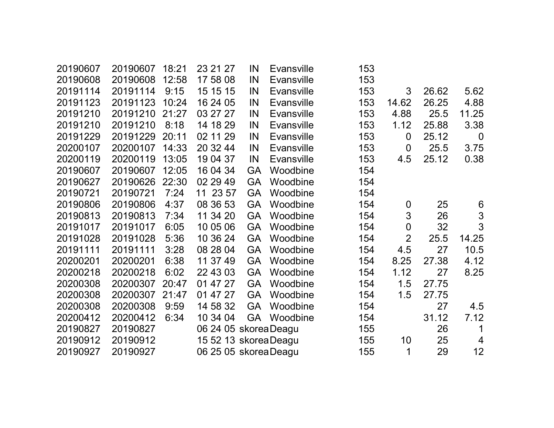| 20190607 | 20190607 | 18:21 | 23 21 27              | IN        | <b>Evansville</b> | 153 |                  |       |                 |
|----------|----------|-------|-----------------------|-----------|-------------------|-----|------------------|-------|-----------------|
| 20190608 | 20190608 | 12:58 | 17 58 08              | IN        | <b>Evansville</b> | 153 |                  |       |                 |
| 20191114 | 20191114 | 9:15  | 15 15 15              | IN        | <b>Evansville</b> | 153 | 3                | 26.62 | 5.62            |
| 20191123 | 20191123 | 10:24 | 16 24 05              | IN        | <b>Evansville</b> | 153 | 14.62            | 26.25 | 4.88            |
| 20191210 | 20191210 | 21:27 | 03 27 27              | IN        | <b>Evansville</b> | 153 | 4.88             | 25.5  | 11.25           |
| 20191210 | 20191210 | 8:18  | 14 18 29              | IN        | <b>Evansville</b> | 153 | 1.12             | 25.88 | 3.38            |
| 20191229 | 20191229 | 20:11 | 02 11 29              | IN        | <b>Evansville</b> | 153 | $\overline{0}$   | 25.12 | $\overline{0}$  |
| 20200107 | 20200107 | 14:33 | 20 32 44              | IN        | <b>Evansville</b> | 153 | $\overline{0}$   | 25.5  | 3.75            |
| 20200119 | 20200119 | 13:05 | 19 04 37              | IN        | <b>Evansville</b> | 153 | 4.5              | 25.12 | 0.38            |
| 20190607 | 20190607 | 12:05 | 16 04 34              | <b>GA</b> | Woodbine          | 154 |                  |       |                 |
| 20190627 | 20190626 | 22:30 | 02 29 49              | <b>GA</b> | Woodbine          | 154 |                  |       |                 |
| 20190721 | 20190721 | 7:24  | 11 23 57              | <b>GA</b> | Woodbine          | 154 |                  |       |                 |
| 20190806 | 20190806 | 4:37  | 08 36 53              | <b>GA</b> | Woodbine          | 154 | $\boldsymbol{0}$ | 25    | $6\phantom{1}6$ |
| 20190813 | 20190813 | 7:34  | 11 34 20              | <b>GA</b> | Woodbine          | 154 | 3                | 26    | $\mathfrak{S}$  |
| 20191017 | 20191017 | 6:05  | 10 05 06              | <b>GA</b> | Woodbine          | 154 | $\boldsymbol{0}$ | 32    | 3               |
| 20191028 | 20191028 | 5:36  | 10 36 24              | <b>GA</b> | Woodbine          | 154 | $\overline{2}$   | 25.5  | 14.25           |
| 20191111 | 20191111 | 3:28  | 08 28 04              | <b>GA</b> | Woodbine          | 154 | 4.5              | 27    | 10.5            |
| 20200201 | 20200201 | 6:38  | 11 37 49              | <b>GA</b> | Woodbine          | 154 | 8.25             | 27.38 | 4.12            |
| 20200218 | 20200218 | 6:02  | 22 43 03              | <b>GA</b> | Woodbine          | 154 | 1.12             | 27    | 8.25            |
| 20200308 | 20200307 | 20:47 | 01 47 27              | <b>GA</b> | Woodbine          | 154 | 1.5              | 27.75 |                 |
| 20200308 | 20200307 | 21:47 | 01 47 27              | <b>GA</b> | Woodbine          | 154 | 1.5              | 27.75 |                 |
| 20200308 | 20200308 | 9:59  | 14 58 32              | <b>GA</b> | Woodbine          | 154 |                  | 27    | 4.5             |
| 20200412 | 20200412 | 6:34  | 10 34 04              | GA        | Woodbine          | 154 |                  | 31.12 | 7.12            |
| 20190827 | 20190827 |       | 06 24 05 skorea Deagu |           |                   | 155 |                  | 26    | 1               |
| 20190912 | 20190912 |       | 15 52 13 skorea Deagu |           |                   | 155 | 10               | 25    | $\overline{4}$  |
| 20190927 | 20190927 |       | 06 25 05 skorea Deagu |           |                   | 155 | 1                | 29    | 12              |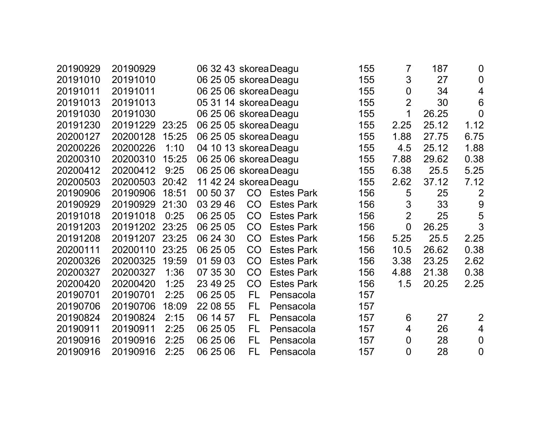| 20190929 | 20190929 |       | 06 32 43 skorea Deagu |                       |                   |  | 155 | $\overline{7}$   | 187   | $\boldsymbol{0}$         |
|----------|----------|-------|-----------------------|-----------------------|-------------------|--|-----|------------------|-------|--------------------------|
| 20191010 | 20191010 |       | 06 25 05 skorea Deagu |                       |                   |  | 155 | 3                | 27    | $\mathbf 0$              |
| 20191011 | 20191011 |       | 06 25 06 skorea Deagu |                       |                   |  | 155 | $\boldsymbol{0}$ | 34    | $\overline{\mathbf{4}}$  |
| 20191013 | 20191013 |       | 05 31 14 skorea Deagu |                       |                   |  | 155 | $\overline{2}$   | 30    | 6                        |
| 20191030 | 20191030 |       | 06 25 06 skorea Deagu |                       |                   |  | 155 | 1                | 26.25 | $\overline{0}$           |
| 20191230 | 20191229 | 23:25 | 06 25 05 skorea Deagu |                       |                   |  | 155 | 2.25             | 25.12 | 1.12                     |
| 20200127 | 20200128 | 15:25 | 06 25 05 skorea Deagu |                       |                   |  | 155 | 1.88             | 27.75 | 6.75                     |
| 20200226 | 20200226 | 1:10  | 04 10 13 skorea Deagu |                       |                   |  | 155 | 4.5              | 25.12 | 1.88                     |
| 20200310 | 20200310 | 15:25 | 06 25 06 skorea Deagu |                       |                   |  | 155 | 7.88             | 29.62 | 0.38                     |
| 20200412 | 20200412 | 9:25  |                       | 06 25 06 skorea Deagu |                   |  |     | 6.38             | 25.5  | 5.25                     |
| 20200503 | 20200503 | 20:42 | 11 42 24 skorea Deagu |                       |                   |  | 155 | 2.62             | 37.12 | 7.12                     |
| 20190906 | 20190906 | 18:51 | 00 50 37              | CO <sub>2</sub>       | <b>Estes Park</b> |  | 156 | 5                | 25    | $\overline{2}$           |
| 20190929 | 20190929 | 21:30 | 03 29 46              | CO                    | <b>Estes Park</b> |  | 156 | 3                | 33    | $9$                      |
| 20191018 | 20191018 | 0:25  | 06 25 05              | CO                    | <b>Estes Park</b> |  | 156 | $\overline{2}$   | 25    | 5                        |
| 20191203 | 20191202 | 23:25 | 06 25 05              | CO                    | <b>Estes Park</b> |  | 156 | $\overline{0}$   | 26.25 | 3                        |
| 20191208 | 20191207 | 23:25 | 06 24 30              | CO                    | <b>Estes Park</b> |  | 156 | 5.25             | 25.5  | 2.25                     |
| 20200111 | 20200110 | 23:25 | 06 25 05              | CO                    | <b>Estes Park</b> |  | 156 | 10.5             | 26.62 | 0.38                     |
| 20200326 | 20200325 | 19:59 | 01 59 03              | CO                    | <b>Estes Park</b> |  | 156 | 3.38             | 23.25 | 2.62                     |
| 20200327 | 20200327 | 1:36  | 07 35 30              | CO                    | <b>Estes Park</b> |  | 156 | 4.88             | 21.38 | 0.38                     |
| 20200420 | 20200420 | 1:25  | 23 49 25              | CO                    | <b>Estes Park</b> |  | 156 | 1.5              | 20.25 | 2.25                     |
| 20190701 | 20190701 | 2:25  | 06 25 05              | FL                    | Pensacola         |  | 157 |                  |       |                          |
| 20190706 | 20190706 | 18:09 | 22 08 55              | FL                    | Pensacola         |  | 157 |                  |       |                          |
| 20190824 | 20190824 | 2:15  | 06 14 57              | FL                    | Pensacola         |  | 157 | 6                | 27    | $\overline{2}$           |
| 20190911 | 20190911 | 2:25  | 06 25 05              | <b>FL</b>             | Pensacola         |  | 157 | 4                | 26    | $\overline{\mathcal{A}}$ |
| 20190916 | 20190916 | 2:25  | 06 25 06              | FL                    | Pensacola         |  | 157 | $\boldsymbol{0}$ | 28    | $\boldsymbol{0}$         |
| 20190916 | 20190916 | 2:25  | 06 25 06              | FL                    | Pensacola         |  | 157 | 0                | 28    | $\mathbf 0$              |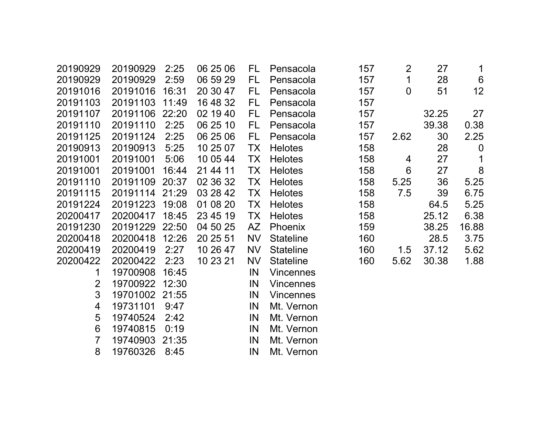| 20190929       | 20190929 | 2:25  | 06 25 06 | FL.       | Pensacola        | 157 | $\overline{2}$   | 27    | $\mathbf 1$      |
|----------------|----------|-------|----------|-----------|------------------|-----|------------------|-------|------------------|
| 20190929       | 20190929 | 2:59  | 06 59 29 | FL        | Pensacola        | 157 | $\overline{1}$   | 28    | 6                |
| 20191016       | 20191016 | 16:31 | 20 30 47 | FL.       | Pensacola        | 157 | $\boldsymbol{0}$ | 51    | 12               |
| 20191103       | 20191103 | 11:49 | 16 48 32 | FL        | Pensacola        | 157 |                  |       |                  |
| 20191107       | 20191106 | 22:20 | 02 19 40 | FL        | Pensacola        | 157 |                  | 32.25 | 27               |
| 20191110       | 20191110 | 2:25  | 06 25 10 | FL        | Pensacola        | 157 |                  | 39.38 | 0.38             |
| 20191125       | 20191124 | 2:25  | 06 25 06 | FL.       | Pensacola        | 157 | 2.62             | 30    | 2.25             |
| 20190913       | 20190913 | 5:25  | 10 25 07 | <b>TX</b> | <b>Helotes</b>   | 158 |                  | 28    | $\boldsymbol{0}$ |
| 20191001       | 20191001 | 5:06  | 10 05 44 | <b>TX</b> | <b>Helotes</b>   | 158 | 4                | 27    | 1                |
| 20191001       | 20191001 | 16:44 | 21 44 11 | TX        | <b>Helotes</b>   | 158 | $6\phantom{1}$   | 27    | 8                |
| 20191110       | 20191109 | 20:37 | 02 36 32 | TX        | <b>Helotes</b>   | 158 | 5.25             | 36    | 5.25             |
| 20191115       | 20191114 | 21:29 | 03 28 42 | TX        | <b>Helotes</b>   | 158 | 7.5              | 39    | 6.75             |
| 20191224       | 20191223 | 19:08 | 01 08 20 | TX        | <b>Helotes</b>   | 158 |                  | 64.5  | 5.25             |
| 20200417       | 20200417 | 18:45 | 23 45 19 | TX        | <b>Helotes</b>   | 158 |                  | 25.12 | 6.38             |
| 20191230       | 20191229 | 22:50 | 04 50 25 | AZ        | <b>Phoenix</b>   | 159 |                  | 38.25 | 16.88            |
| 20200418       | 20200418 | 12:26 | 20 25 51 | <b>NV</b> | <b>Stateline</b> | 160 |                  | 28.5  | 3.75             |
| 20200419       | 20200419 | 2:27  | 10 26 47 | <b>NV</b> | <b>Stateline</b> | 160 | 1.5              | 37.12 | 5.62             |
| 20200422       | 20200422 | 2:23  | 10 23 21 | <b>NV</b> | <b>Stateline</b> | 160 | 5.62             | 30.38 | 1.88             |
| 1              | 19700908 | 16:45 |          | IN        | <b>Vincennes</b> |     |                  |       |                  |
| $\overline{2}$ | 19700922 | 12:30 |          | IN        | <b>Vincennes</b> |     |                  |       |                  |
| 3              | 19701002 | 21:55 |          | IN        | <b>Vincennes</b> |     |                  |       |                  |
| 4              | 19731101 | 9:47  |          | IN        | Mt. Vernon       |     |                  |       |                  |
| 5              | 19740524 | 2:42  |          | IN        | Mt. Vernon       |     |                  |       |                  |
| 6              | 19740815 | 0:19  |          | IN        | Mt. Vernon       |     |                  |       |                  |
| 7              | 19740903 | 21:35 |          | IN        | Mt. Vernon       |     |                  |       |                  |
| 8              | 19760326 | 8:45  |          | IN        | Mt. Vernon       |     |                  |       |                  |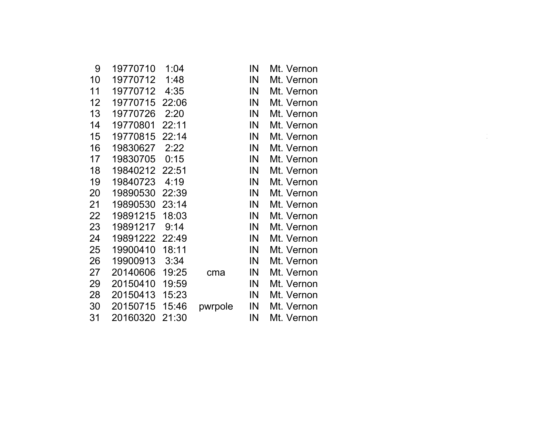| 9               | 19770710       | 1:04  |         | IN | Mt. Vernon |  |
|-----------------|----------------|-------|---------|----|------------|--|
| 10              | 19770712       | 1:48  |         | IN | Mt. Vernon |  |
| 11              | 19770712       | 4:35  |         | IN | Mt. Vernon |  |
| 12 <sub>2</sub> | 19770715       | 22:06 |         | IN | Mt. Vernon |  |
| 13              | 19770726       | 2:20  |         | IN | Mt. Vernon |  |
| 14              | 19770801       | 22:11 |         | IN | Mt. Vernon |  |
| $15\,$          | 19770815       | 22:14 |         | IN | Mt. Vernon |  |
| 16              | 19830627       | 2:22  |         | IN | Mt. Vernon |  |
| 17              | 19830705       | 0:15  |         | IN | Mt. Vernon |  |
| 18              | 19840212 22:51 |       |         | IN | Mt. Vernon |  |
| 19              | 19840723       | 4:19  |         | IN | Mt. Vernon |  |
| 20              | 19890530       | 22:39 |         | IN | Mt. Vernon |  |
| 21              | 19890530 23:14 |       |         | IN | Mt. Vernon |  |
| 22              | 19891215       | 18:03 |         | IN | Mt. Vernon |  |
| 23              | 19891217       | 9:14  |         | IN | Mt. Vernon |  |
| 24              | 19891222 22:49 |       |         | IN | Mt. Vernon |  |
| 25              | 19900410       | 18:11 |         | IN | Mt. Vernon |  |
| 26              | 19900913       | 3:34  |         | IN | Mt. Vernon |  |
| 27              | 20140606       | 19:25 | cma     | IN | Mt. Vernon |  |
| 29              | 20150410       | 19:59 |         | IN | Mt. Vernon |  |
| 28              | 20150413       | 15:23 |         | IN | Mt. Vernon |  |
| 30              | 20150715       | 15:46 | pwrpole | IN | Mt. Vernon |  |
| 31              | 20160320 21:30 |       |         | IN | Mt. Vernon |  |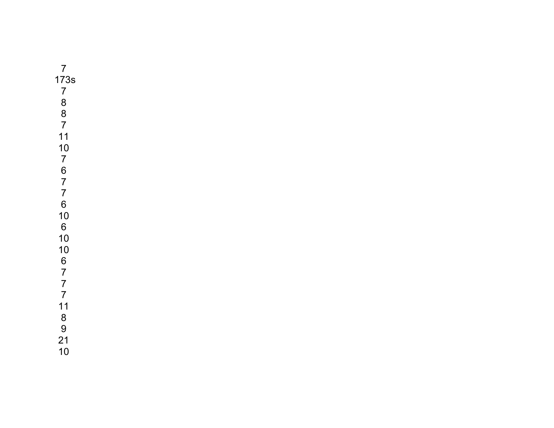| $\overline{7}$                 |
|--------------------------------|
| 1                              |
|                                |
|                                |
|                                |
| $73s$<br>$788$<br>$87$<br>$11$ |
|                                |
|                                |
| 10767760                       |
|                                |
|                                |
|                                |
| 10<br>6<br>10                  |
|                                |
| 10                             |
| 677711                         |
|                                |
|                                |
|                                |
|                                |
|                                |
| 8<br>9<br>21<br>10             |
|                                |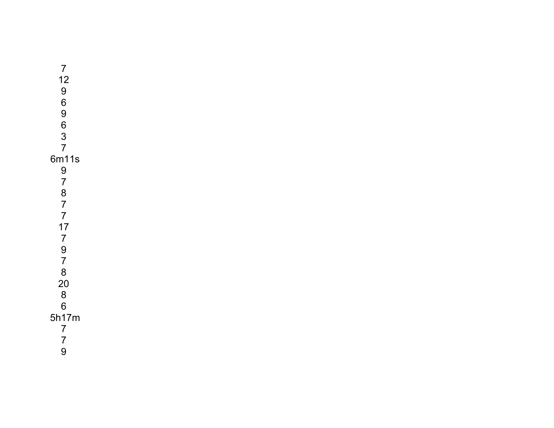| $\overline{7}$                   |  |
|----------------------------------|--|
| 12                               |  |
| 9                                |  |
| 6                                |  |
| 9                                |  |
|                                  |  |
|                                  |  |
| 6<br>3<br>7                      |  |
| 6m11s                            |  |
|                                  |  |
| 9<br>7                           |  |
|                                  |  |
| $\frac{8}{7}$                    |  |
| $\overline{7}$                   |  |
| 17                               |  |
| $\overline{7}$                   |  |
|                                  |  |
| 9<br>7                           |  |
| 8                                |  |
| 20                               |  |
| 8                                |  |
| 6                                |  |
| 5h17m                            |  |
|                                  |  |
| $\overline{7}$<br>$\overline{7}$ |  |
|                                  |  |
| 9                                |  |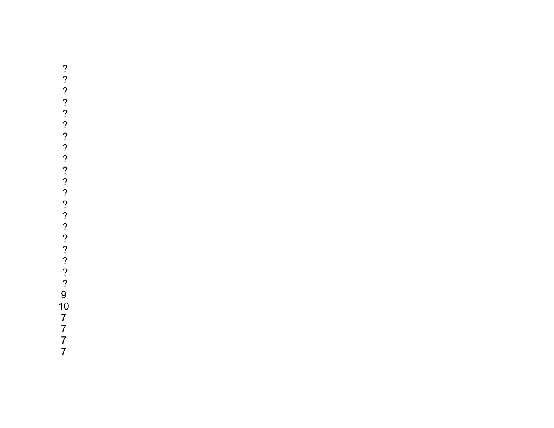$? ? ? ? ? ? ? ? ? ? ? ? ? ? ? ? ? ? ? 9 10 7 7 7 7$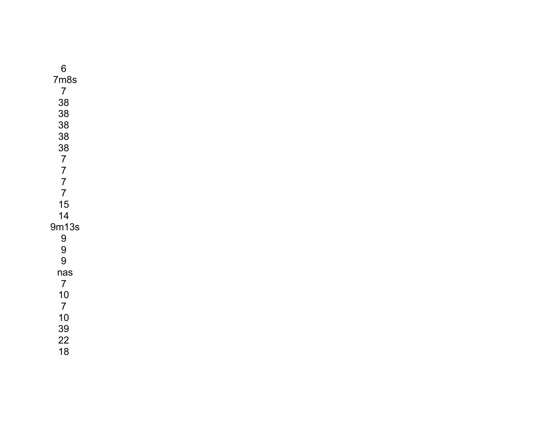| 6                |
|------------------|
| 7 <sub>m8s</sub> |
| $\overline{7}$   |
| 38               |
| 38               |
| 38               |
| 38               |
|                  |
| 38<br>7<br>7     |
|                  |
| $\frac{7}{7}$    |
| 15               |
| 14               |
| 9m13s            |
| 9                |
| 9                |
| 9                |
| nas              |
| $\overline{7}$   |
| 10               |
| $\overline{7}$   |
| 10               |
| 39               |
| 22               |
| 18               |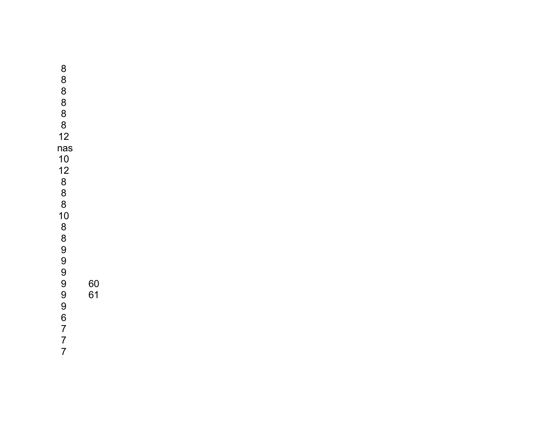9 60 9 61